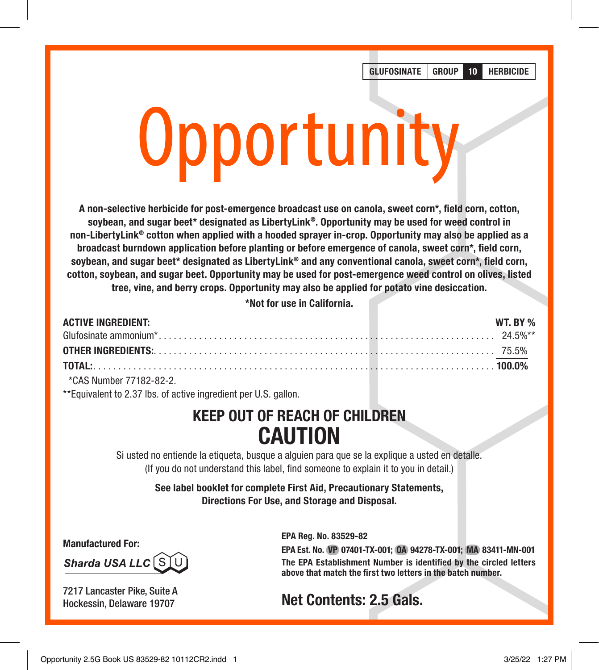GLUFOSINATE GROUP 10 HERBICIDE

# Opportunity

A non-selective herbicide for post-emergence broadcast use on canola, sweet corn\*, field corn, cotton, soybean, and sugar beet\* designated as LibertyLink®. Opportunity may be used for weed control in non-LibertyLink® cotton when applied with a hooded sprayer in-crop. Opportunity may also be applied as a broadcast burndown application before planting or before emergence of canola, sweet corn\*, field corn, soybean, and sugar beet\* designated as LibertyLink® and any conventional canola, sweet corn\*, field corn, cotton, soybean, and sugar beet. Opportunity may be used for post-emergence weed control on olives, listed tree, vine, and berry crops. Opportunity may also be applied for potato vine desiccation.

\*Not for use in California.

| <b>ACTIVE INGREDIENT:</b> |  |  | WT. BY % |
|---------------------------|--|--|----------|
|                           |  |  |          |
|                           |  |  |          |
|                           |  |  |          |
|                           |  |  |          |

\*CAS Number 77182-82-2.

\*\*Equivalent to 2.37 lbs. of active ingredient per U.S. gallon.

# KEEP OUT OF REACH OF CHILDREN CAUTION

Si usted no entiende la etiqueta, busque a alguien para que se la explique a usted en detalle. (If you do not understand this label, find someone to explain it to you in detail.)

> See label booklet for complete First Aid, Precautionary Statements, Directions For Use, and Storage and Disposal.

Manufactured For:

Sharda USA LLC SL

7217 Lancaster Pike, Suite A Hockessin, Delaware 19707

EPA Reg. No. 83529-82 EPA Est. No. VP 07401-TX-001; OA 94278-TX-001; MA 83411-MN-001 The EPA Establishment Number is identified by the circled letters above that match the first two letters in the batch number.

# Net Contents: 2.5 Gals.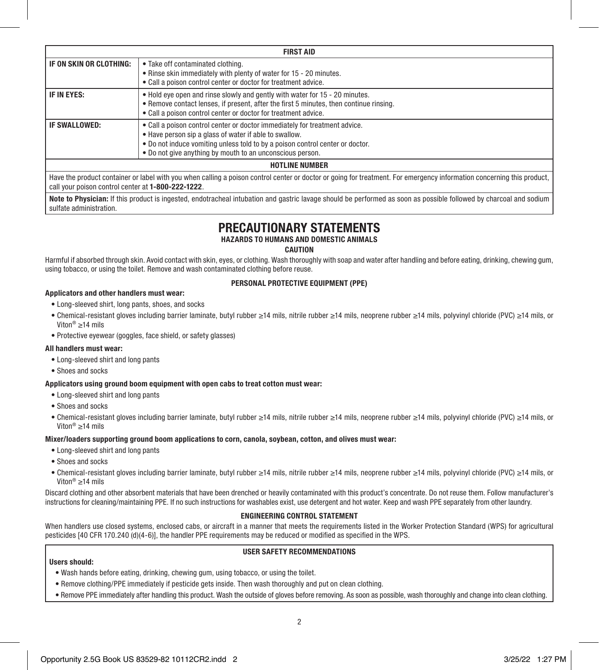| <b>FIRST AID</b>        |                                                                                                                                                                                                                                                                                    |  |  |
|-------------------------|------------------------------------------------------------------------------------------------------------------------------------------------------------------------------------------------------------------------------------------------------------------------------------|--|--|
| IF ON SKIN OR CLOTHING: | • Take off contaminated clothing.<br>• Rinse skin immediately with plenty of water for 15 - 20 minutes.<br>• Call a poison control center or doctor for treatment advice.                                                                                                          |  |  |
| IF IN EYES:             | . Hold eye open and rinse slowly and gently with water for 15 - 20 minutes.<br>• Remove contact lenses, if present, after the first 5 minutes, then continue rinsing.<br>• Call a poison control center or doctor for treatment advice.                                            |  |  |
| IF SWALLOWED:           | . Call a poison control center or doctor immediately for treatment advice.<br>• Have person sip a glass of water if able to swallow.<br>. Do not induce vomiting unless told to by a poison control center or doctor.<br>• Do not give anything by mouth to an unconscious person. |  |  |
| <b>HOTLINE NUMBER</b>   |                                                                                                                                                                                                                                                                                    |  |  |

Have the product container or label with you when calling a poison control center or doctor or going for treatment. For emergency information concerning this product, call your poison control center at 1-800-222-1222.

Note to Physician: If this product is ingested, endotracheal intubation and gastric lavage should be performed as soon as possible followed by charcoal and sodium sulfate administration.

# PRECAUTIONARY STATEMENTS

HAZARDS TO HUMANS AND DOMESTIC ANIMALS

CAUTION

Harmful if absorbed through skin. Avoid contact with skin, eyes, or clothing. Wash thoroughly with soap and water after handling and before eating, drinking, chewing gum, using tobacco, or using the toilet. Remove and wash contaminated clothing before reuse.

### PERSONAL PROTECTIVE EQUIPMENT (PPE)

### Applicators and other handlers must wear:

- Long-sleeved shirt, long pants, shoes, and socks
- Chemical-resistant gloves including barrier laminate, butyl rubber ≥14 mils, nitrile rubber ≥14 mils, neoprene rubber ≥14 mils, polyvinyl chloride (PVC) ≥14 mils, or Viton® ≥14 mils
- Protective eyewear (goggles, face shield, or safety glasses)

### All handlers must wear:

- Long-sleeved shirt and long pants
- Shoes and socks

### Applicators using ground boom equipment with open cabs to treat cotton must wear:

- Long-sleeved shirt and long pants
- Shoes and socks
- Chemical-resistant gloves including barrier laminate, butyl rubber ≥14 mils, nitrile rubber ≥14 mils, neoprene rubber ≥14 mils, polyvinyl chloride (PVC) ≥14 mils, or Viton® ≥14 mils

### Mixer/loaders supporting ground boom applications to corn, canola, soybean, cotton, and olives must wear:

- Long-sleeved shirt and long pants
- Shoes and socks
- Chemical-resistant gloves including barrier laminate, butyl rubber ≥14 mils, nitrile rubber ≥14 mils, neoprene rubber ≥14 mils, polyvinyl chloride (PVC) ≥14 mils, or Viton® ≥14 mils

Discard clothing and other absorbent materials that have been drenched or heavily contaminated with this product's concentrate. Do not reuse them. Follow manufacturer's instructions for cleaning/maintaining PPE. If no such instructions for washables exist, use detergent and hot water. Keep and wash PPE separately from other laundry.

### ENGINEERING CONTROL STATEMENT

When handlers use closed systems, enclosed cabs, or aircraft in a manner that meets the requirements listed in the Worker Protection Standard (WPS) for agricultural pesticides [40 CFR 170.240 (d)(4-6)], the handler PPE requirements may be reduced or modified as specified in the WPS.

### USER SAFETY RECOMMENDATIONS

### Users should:

- Wash hands before eating, drinking, chewing gum, using tobacco, or using the toilet.
- Remove clothing/PPE immediately if pesticide gets inside. Then wash thoroughly and put on clean clothing.
- Remove PPE immediately after handling this product. Wash the outside of gloves before removing. As soon as possible, wash thoroughly and change into clean clothing.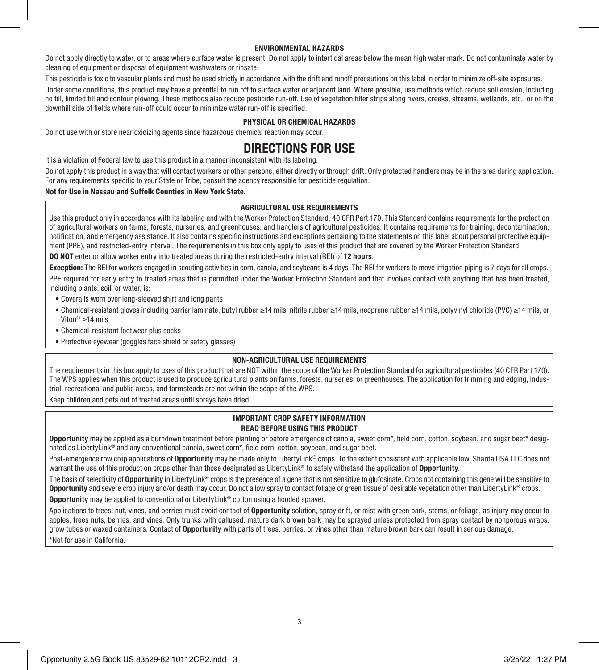### ENVIRONMENTAL HAZARDS

Do not apply directly to water, or to areas where surface water is present. Do not apply to intertidal areas below the mean high water mark. Do not contaminate water by cleaning of equipment or disposal of equipment washwaters or rinsate.

This pesticide is toxic to vascular plants and must be used strictly in accordance with the drift and runoff precautions on this label in order to minimize off-site exposures.

Under some conditions, this product may have a potential to run off to surface water or adjacent land. Where possible, use methods which reduce soil erosion, including no till, limited till and contour plowing. These methods also reduce pesticide run-off. Use of vegetation filter strips along rivers, creeks, streams, wetlands, etc., or on the downhill side of fields where run-off could occur to minimize water run-off is specified.

### PHYSICAL OR CHEMICAL HAZARDS

Do not use with or store near oxidizing agents since hazardous chemical reaction may occur.

# DIRECTIONS FOR USE

It is a violation of Federal law to use this product in a manner inconsistent with its labeling.

Do not apply this product in a way that will contact workers or other persons, either directly or through drift. Only protected handlers may be in the area during application. For any requirements specific to your State or Tribe, consult the agency responsible for pesticide regulation.

### Not for Use in Nassau and Suffolk Counties in New York State.

### AGRICULTURAL USE REQUIREMENTS

Use this product only in accordance with its labeling and with the Worker Protection Standard, 40 CFR Part 170. This Standard contains requirements for the protection of agricultural workers on farms, forests, nurseries, and greenhouses, and handlers of agricultural pesticides. It contains requirements for training, decontamination, notification, and emergency assistance. It also contains specific instructions and exceptions pertaining to the statements on this label about personal protective equipment (PPE), and restricted-entry interval. The requirements in this box only apply to uses of this product that are covered by the Worker Protection Standard.

DO NOT enter or allow worker entry into treated areas during the restricted-entry interval (REI) of 12 hours.

Exception: The REI for workers engaged in scouting activities in corn, canola, and soybeans is 4 days. The REI for workers to move irrigation piping is 7 days for all crops. PPE required for early entry to treated areas that is permitted under the Worker Protection Standard and that involves contact with anything that has been treated. including plants, soil, or water, is:

- Coveralls worn over long-sleeved shirt and long pants
- Chemical-resistant gloves including barrier laminate, butyl rubber ≥14 mils, nitrile rubber ≥14 mils, neoprene rubber ≥14 mils, polyvinyl chloride (PVC) ≥14 mils, or Viton® ≥14 mils
- Chemical-resistant footwear plus socks
- Protective eyewear (goggles face shield or safety glasses)

### NON-AGRICULTURAL USE REQUIREMENTS

The requirements in this box apply to uses of this product that are NOT within the scope of the Worker Protection Standard for agricultural pesticides (40 CFR Part 170). The WPS applies when this product is used to produce agricultural plants on farms, forests, nurseries, or greenhouses. The application for trimming and edging, industrial, recreational and public areas, and farmsteads are not within the scope of the WPS.

Keep children and pets out of treated areas until sprays have dried.

### IMPORTANT CROP SAFETY INFORMATION READ BEFORE USING THIS PRODUCT

Opportunity may be applied as a burndown treatment before planting or before emergence of canola, sweet corn\*, field corn, cotton, soybean, and sugar beet\* designated as LibertyLink® and any conventional canola, sweet corn\*, field corn, cotton, soybean, and sugar beet.

Post-emergence row crop applications of Opportunity may be made only to LibertyLink® crops. To the extent consistent with applicable law, Sharda USA LLC does not warrant the use of this product on crops other than those designated as LibertyLink® to safely withstand the application of **Opportunity**.

The basis of selectivity of Opportunity in LibertyLink® crops is the presence of a gene that is not sensitive to glufosinate. Crops not containing this gene will be sensitive to Opportunity and severe crop injury and/or death may occur. Do not allow spray to contact foliage or green tissue of desirable vegetation other than LibertyLink® crops.

Opportunity may be applied to conventional or LibertyLink® cotton using a hooded sprayer.

Applications to trees, nut, vines, and berries must avoid contact of Opportunity solution, spray drift, or mist with green bark, stems, or foliage, as injury may occur to apples, trees nuts, berries, and vines. Only trunks with callused, mature dark brown bark may be sprayed unless protected from spray contact by nonporous wraps, grow tubes or waxed containers. Contact of Opportunity with parts of trees, berries, or vines other than mature brown bark can result in serious damage. \*Not for use in California.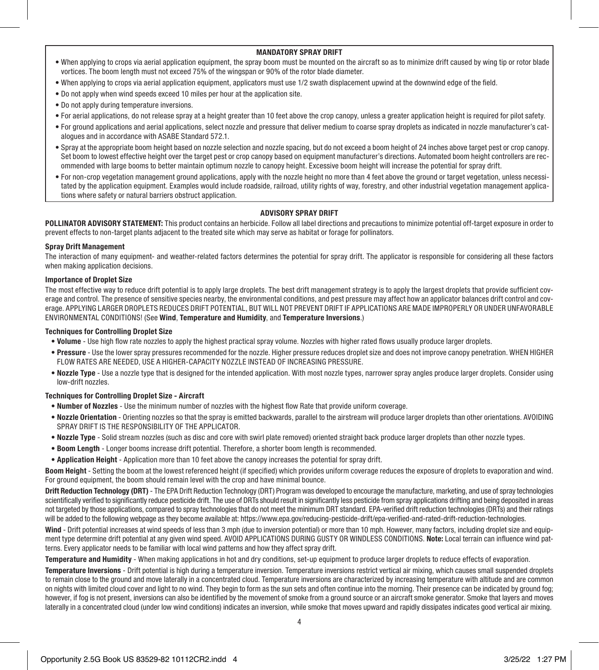### MANDATORY SPRAY DRIFT

- When applying to crops via aerial application equipment, the spray boom must be mounted on the aircraft so as to minimize drift caused by wing tip or rotor blade vortices. The boom length must not exceed 75% of the wingspan or 90% of the rotor blade diameter.
- When applying to crops via aerial application equipment, applicators must use 1/2 swath displacement upwind at the downwind edge of the field.
- Do not apply when wind speeds exceed 10 miles per hour at the application site.
- Do not apply during temperature inversions.
- For aerial applications, do not release spray at a height greater than 10 feet above the crop canopy, unless a greater application height is required for pilot safety.
- For ground applications and aerial applications, select nozzle and pressure that deliver medium to coarse spray droplets as indicated in nozzle manufacturer's catalogues and in accordance with ASABE Standard 572.1.
- Spray at the appropriate boom height based on nozzle selection and nozzle spacing, but do not exceed a boom height of 24 inches above target pest or crop canopy. Set boom to lowest effective height over the target pest or crop canopy based on equipment manufacturer's directions. Automated boom height controllers are recommended with large booms to better maintain optimum nozzle to canopy height. Excessive boom height will increase the potential for spray drift.
- For non-crop vegetation management ground applications, apply with the nozzle height no more than 4 feet above the ground or target vegetation, unless necessitated by the application equipment. Examples would include roadside, railroad, utility rights of way, forestry, and other industrial vegetation management applications where safety or natural barriers obstruct application.

### ADVISORY SPRAY DRIFT

POLLINATOR ADVISORY STATEMENT: This product contains an herbicide. Follow all label directions and precautions to minimize potential off-target exposure in order to prevent effects to non-target plants adjacent to the treated site which may serve as habitat or forage for pollinators.

### Spray Drift Management

The interaction of many equipment- and weather-related factors determines the potential for spray drift. The applicator is responsible for considering all these factors when making application decisions.

### Importance of Droplet Size

The most effective way to reduce drift potential is to apply large droplets. The best drift management strategy is to apply the largest droplets that provide sufficient coverage and control. The presence of sensitive species nearby, the environmental conditions, and pest pressure may affect how an applicator balances drift control and coverage. APPLYING LARGER DROPLETS REDUCES DRIFT POTENTIAL, BUT WILL NOT PREVENT DRIFT IF APPLICATIONS ARE MADE IMPROPERLY OR UNDER UNFAVORABLE ENVIRONMENTAL CONDITIONS! (See Wind, Temperature and Humidity, and Temperature Inversions.)

### Techniques for Controlling Droplet Size

- Volume Use high flow rate nozzles to apply the highest practical spray volume. Nozzles with higher rated flows usually produce larger droplets.
- Pressure Use the lower spray pressures recommended for the nozzle. Higher pressure reduces droplet size and does not improve canopy penetration. WHEN HIGHER FLOW RATES ARE NEEDED, USE A HIGHER-CAPACITY NOZZLE INSTEAD OF INCREASING PRESSURE.
- Nozzle Type Use a nozzle type that is designed for the intended application. With most nozzle types, narrower spray angles produce larger droplets. Consider using low-drift nozzles.

### Techniques for Controlling Droplet Size - Aircraft

- Number of Nozzles Use the minimum number of nozzles with the highest flow Rate that provide uniform coverage.
- Nozzle Orientation Orienting nozzles so that the spray is emitted backwards, parallel to the airstream will produce larger droplets than other orientations. AVOIDING SPRAY DRIFT IS THE RESPONSIBILITY OF THE APPLICATOR.
- Nozzle Type Solid stream nozzles (such as disc and core with swirl plate removed) oriented straight back produce larger droplets than other nozzle types.
- Boom Length Longer booms increase drift potential. Therefore, a shorter boom length is recommended.
- Application Height Application more than 10 feet above the canopy increases the potential for spray drift.

Boom Height - Setting the boom at the lowest referenced height (if specified) which provides uniform coverage reduces the exposure of droplets to evaporation and wind. For ground equipment, the boom should remain level with the crop and have minimal bounce.

Drift Reduction Technology (DRT) - The EPA Drift Reduction Technology (DRT) Program was developed to encourage the manufacture, marketing, and use of spray technologies scientifically verified to significantly reduce pesticide drift. The use of DRTs should result in significantly less pesticide from spray applications drifting and being deposited in areas not targeted by those applications, compared to spray technologies that do not meet the minimum DRT standard. EPA-verified drift reduction technologies (DRTs) and their ratings will be added to the following webpage as they become available at: https://www.epa.gov/reducing-pesticide-drift/epa-verified-and-rated-drift-reduction-technologies.

Wind - Drift potential increases at wind speeds of less than 3 mph (due to inversion potential) or more than 10 mph. However, many factors, including droplet size and equipment type determine drift potential at any given wind speed. AVOID APPLICATIONS DURING GUSTY OR WINDLESS CONDITIONS. Note: Local terrain can influence wind patterns. Every applicator needs to be familiar with local wind patterns and how they affect spray drift.

Temperature and Humidity - When making applications in hot and dry conditions, set-up equipment to produce larger droplets to reduce effects of evaporation.

Temperature Inversions - Drift potential is high during a temperature inversion. Temperature inversions restrict vertical air mixing, which causes small suspended droplets to remain close to the ground and move laterally in a concentrated cloud. Temperature inversions are characterized by increasing temperature with altitude and are common on nights with limited cloud cover and light to no wind. They begin to form as the sun sets and often continue into the morning. Their presence can be indicated by ground fog; however, if fog is not present, inversions can also be identified by the movement of smoke from a ground source or an aircraft smoke generator. Smoke that layers and moves laterally in a concentrated cloud (under low wind conditions) indicates an inversion, while smoke that moves upward and rapidly dissipates indicates good vertical air mixing.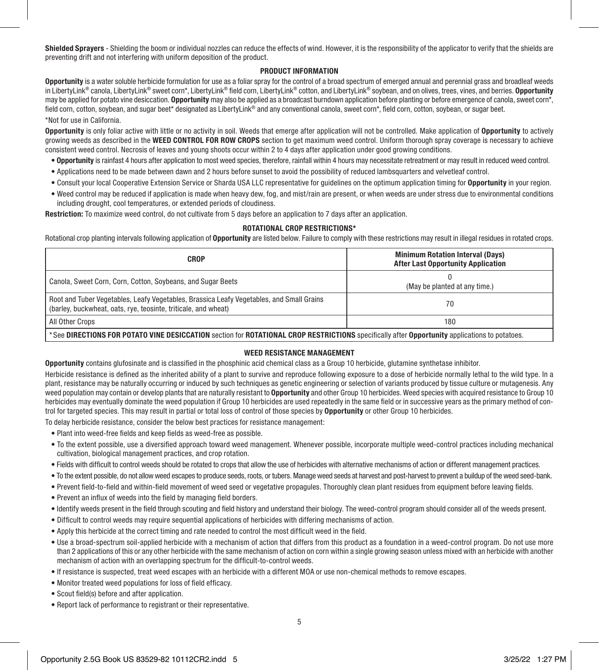Shielded Sprayers - Shielding the boom or individual nozzles can reduce the effects of wind. However, it is the responsibility of the applicator to verify that the shields are preventing drift and not interfering with uniform deposition of the product.

### PRODUCT INFORMATION

Opportunity is a water soluble herbicide formulation for use as a foliar spray for the control of a broad spectrum of emerged annual and perennial grass and broadleaf weeds in LibertyLink® canola, LibertyLink® sweet corn\*, LibertyLink® field corn, LibertyLink® cotton, and LibertyLink® soybean, and on olives, trees, vines, and berries, Opportunity may be applied for potato vine desiccation. Opportunity may also be applied as a broadcast burndown application before planting or before emergence of canola, sweet corn\*, field corn, cotton, soybean, and sugar beet\* designated as LibertyLink® and any conventional canola, sweet corn\*, field corn, cotton, soybean, or sugar beet.

### \*Not for use in California.

Opportunity is only foliar active with little or no activity in soil. Weeds that emerge after application will not be controlled. Make application of Opportunity to actively growing weeds as described in the WEED CONTROL FOR ROW CROPS section to get maximum weed control. Uniform thorough spray coverage is necessary to achieve consistent weed control. Necrosis of leaves and young shoots occur within 2 to 4 days after application under good growing conditions.

- Opportunity is rainfast 4 hours after application to most weed species, therefore, rainfall within 4 hours may necessitate retreatment or may result in reduced weed control.
- Applications need to be made between dawn and 2 hours before sunset to avoid the possibility of reduced lambsquarters and velvetleaf control.
- Consult your local Cooperative Extension Service or Sharda USA LLC representative for guidelines on the optimum application timing for Opportunity in your region.
- Weed control may be reduced if application is made when heavy dew, fog, and mist/rain are present, or when weeds are under stress due to environmental conditions including drought, cool temperatures, or extended periods of cloudiness.

Restriction: To maximize weed control, do not cultivate from 5 days before an application to 7 days after an application.

### ROTATIONAL CROP RESTRICTIONS\*

Rotational crop planting intervals following application of Opportunity are listed below. Failure to comply with these restrictions may result in illegal residues in rotated crops.

| <b>CROP</b>                                                                                                                                                | <b>Minimum Rotation Interval (Days)</b><br><b>After Last Opportunity Application</b> |  |
|------------------------------------------------------------------------------------------------------------------------------------------------------------|--------------------------------------------------------------------------------------|--|
| Canola, Sweet Corn, Corn, Cotton, Sovbeans, and Sugar Beets                                                                                                | (May be planted at any time.)                                                        |  |
| Root and Tuber Vegetables, Leafy Vegetables, Brassica Leafy Vegetables, and Small Grains<br>(barley, buckwheat, oats, rye, teosinte, triticale, and wheat) | 70                                                                                   |  |
| All Other Crops                                                                                                                                            | 180                                                                                  |  |
| *See DIRECTIONS FOR POTATO VINE DESICCATION section for ROTATIONAL CROP RESTRICTIONS specifically after Opportunity applications to potatoes.              |                                                                                      |  |

### WEED RESISTANCE MANAGEMENT

Opportunity contains glufosinate and is classified in the phosphinic acid chemical class as a Group 10 herbicide, glutamine synthetase inhibitor.

Herbicide resistance is defined as the inherited ability of a plant to survive and reproduce following exposure to a dose of herbicide normally lethal to the wild type. In a plant, resistance may be naturally occurring or induced by such techniques as genetic engineering or selection of variants produced by tissue culture or mutagenesis. Any weed population may contain or develop plants that are naturally resistant to Opportunity and other Group 10 herbicides. Weed species with acquired resistance to Group 10 herbicides may eventually dominate the weed population if Group 10 herbicides are used repeatedly in the same field or in successive years as the primary method of control for targeted species. This may result in partial or total loss of control of those species by Opportunity or other Group 10 herbicides.

To delay herbicide resistance, consider the below best practices for resistance management:

- Plant into weed-free fields and keep fields as weed-free as possible.
- To the extent possible, use a diversified approach toward weed management. Whenever possible, incorporate multiple weed-control practices including mechanical cultivation, biological management practices, and crop rotation.
- Fields with difficult to control weeds should be rotated to crops that allow the use of herbicides with alternative mechanisms of action or different management practices.
- To the extent possible, do not allow weed escapes to produce seeds, roots, or tubers. Manage weed seeds at harvest and post-harvest to prevent a buildup of the weed seed-bank.
- Prevent field-to-field and within-field movement of weed seed or vegetative propagules. Thoroughly clean plant residues from equipment before leaving fields.
- Prevent an influx of weeds into the field by managing field borders.
- Identify weeds present in the field through scouting and field history and understand their biology. The weed-control program should consider all of the weeds present.
- Difficult to control weeds may require sequential applications of herbicides with differing mechanisms of action.
- Apply this herbicide at the correct timing and rate needed to control the most difficult weed in the field.
- Use a broad-spectrum soil-applied herbicide with a mechanism of action that differs from this product as a foundation in a weed-control program. Do not use more than 2 applications of this or any other herbicide with the same mechanism of action on corn within a single growing season unless mixed with an herbicide with another mechanism of action with an overlapping spectrum for the difficult-to-control weeds.
- If resistance is suspected, treat weed escapes with an herbicide with a different MOA or use non-chemical methods to remove escapes.
- Monitor treated weed populations for loss of field efficacy.
- Scout field(s) before and after application.
- Report lack of performance to registrant or their representative.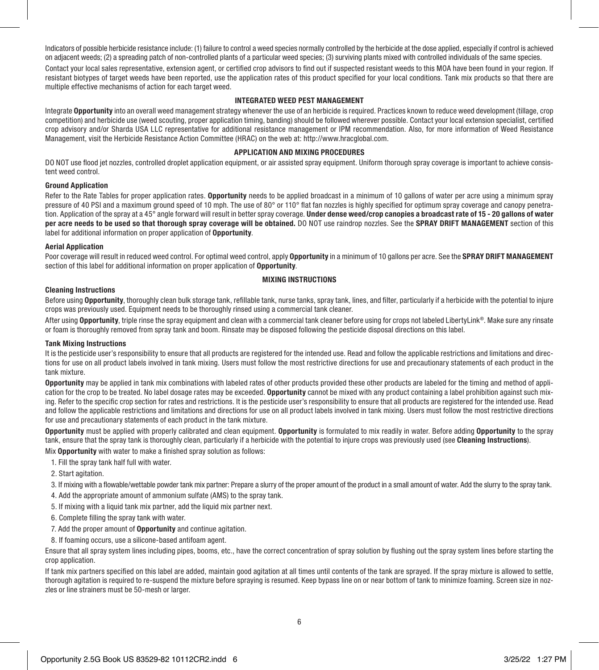Indicators of possible herbicide resistance include: (1) failure to control a weed species normally controlled by the herbicide at the dose applied, especially if control is achieved on adjacent weeds; (2) a spreading patch of non-controlled plants of a particular weed species; (3) surviving plants mixed with controlled individuals of the same species. Contact your local sales representative, extension agent, or certified crop advisors to find out if suspected resistant weeds to this MOA have been found in your region. If resistant biotypes of target weeds have been reported, use the application rates of this product specified for your local conditions. Tank mix products so that there are multiple effective mechanisms of action for each target weed.

### INTEGRATED WEED PEST MANAGEMENT

Integrate Opportunity into an overall weed management strategy whenever the use of an herbicide is required. Practices known to reduce weed development (tillage, crop competition) and herbicide use (weed scouting, proper application timing, banding) should be followed wherever possible. Contact your local extension specialist, certified crop advisory and/or Sharda USA LLC representative for additional resistance management or IPM recommendation. Also, for more information of Weed Resistance Management, visit the Herbicide Resistance Action Committee (HRAC) on the web at: http://www.hracglobal.com.

### APPLICATION AND MIXING PROCEDURES

DO NOT use flood iet nozzles, controlled droplet application equipment, or air assisted spray equipment. Uniform thorough spray coverage is important to achieve consistent weed control.

### Ground Application

Refer to the Rate Tables for proper application rates. Opportunity needs to be applied broadcast in a minimum of 10 gallons of water per acre using a minimum spray pressure of 40 PSI and a maximum ground speed of 10 mph. The use of 80° or 110° flat fan nozzles is highly specified for optimum spray coverage and canopy penetration. Application of the spray at a 45° angle forward will result in better spray coverage. Under dense weed/crop canopies a broadcast rate of 15 - 20 gallons of water per acre needs to be used so that thorough spray coverage will be obtained. DO NOT use raindrop nozzles. See the SPRAY DRIFT MANAGEMENT section of this label for additional information on proper application of **Opportunity**.

### Aerial Application

Poor coverage will result in reduced weed control. For optimal weed control, apply Opportunity in a minimum of 10 gallons per acre. See the SPRAY DRIFT MANAGEMENT section of this label for additional information on proper application of Opportunity.

### MIXING INSTRUCTIONS

### Cleaning Instructions

Before using Opportunity, thoroughly clean bulk storage tank, refillable tank, nurse tanks, spray tank, lines, and filter, particularly if a herbicide with the potential to injure crops was previously used. Equipment needs to be thoroughly rinsed using a commercial tank cleaner.

After using Opportunity, triple rinse the spray equipment and clean with a commercial tank cleaner before using for crops not labeled LibertyLink®. Make sure any rinsate or foam is thoroughly removed from spray tank and boom. Rinsate may be disposed following the pesticide disposal directions on this label.

### Tank Mixing Instructions

It is the pesticide user's responsibility to ensure that all products are registered for the intended use. Read and follow the applicable restrictions and limitations and directions for use on all product labels involved in tank mixing. Users must follow the most restrictive directions for use and precautionary statements of each product in the tank mixture.

Opportunity may be applied in tank mix combinations with labeled rates of other products provided these other products are labeled for the timing and method of application for the crop to be treated. No label dosage rates may be exceeded. Opportunity cannot be mixed with any product containing a label prohibition against such mixing. Refer to the specific crop section for rates and restrictions. It is the pesticide user's responsibility to ensure that all products are registered for the intended use. Read and follow the applicable restrictions and limitations and directions for use on all product labels involved in tank mixing. Users must follow the most restrictive directions for use and precautionary statements of each product in the tank mixture.

Opportunity must be applied with properly calibrated and clean equipment. Opportunity is formulated to mix readily in water. Before adding Opportunity to the spray tank, ensure that the spray tank is thoroughly clean, particularly if a herbicide with the potential to injure crops was previously used (see Cleaning Instructions).

Mix **Opportunity** with water to make a finished spray solution as follows:

- 1. Fill the spray tank half full with water.
- 2. Start agitation.

3. If mixing with a flowable/wettable powder tank mix partner: Prepare a slurry of the proper amount of the product in a small amount of water. Add the slurry to the spray tank.

- 4. Add the appropriate amount of ammonium sulfate (AMS) to the spray tank.
- 5. If mixing with a liquid tank mix partner, add the liquid mix partner next.
- 6. Complete filling the spray tank with water.
- 7. Add the proper amount of Opportunity and continue agitation.
- 8. If foaming occurs, use a silicone-based antifoam agent.

Ensure that all spray system lines including pipes, booms, etc., have the correct concentration of spray solution by flushing out the spray system lines before starting the crop application.

If tank mix partners specified on this label are added, maintain good agitation at all times until contents of the tank are sprayed. If the spray mixture is allowed to settle, thorough agitation is required to re-suspend the mixture before spraying is resumed. Keep bypass line on or near bottom of tank to minimize foaming. Screen size in nozzles or line strainers must be 50-mesh or larger.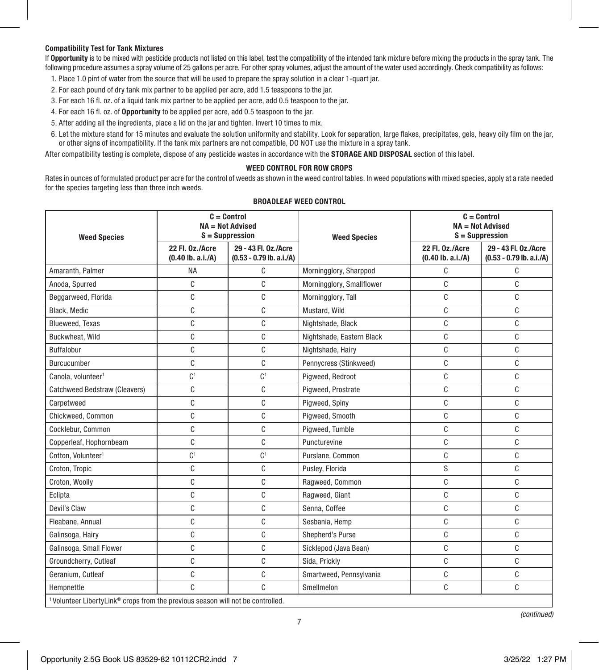### Compatibility Test for Tank Mixtures

If Opportunity is to be mixed with pesticide products not listed on this label, test the compatibility of the intended tank mixture before mixing the products in the spray tank. The following procedure assumes a spray volume of 25 gallons per acre. For other spray volumes, adjust the amount of the water used accordingly. Check compatibility as follows:

- 1. Place 1.0 pint of water from the source that will be used to prepare the spray solution in a clear 1-quart jar.
- 2. For each pound of dry tank mix partner to be applied per acre, add 1.5 teaspoons to the jar.
- 3. For each 16 fl. oz. of a liquid tank mix partner to be applied per acre, add 0.5 teaspoon to the jar.
- 4. For each 16 fl. oz. of Opportunity to be applied per acre, add 0.5 teaspoon to the jar.
- 5. After adding all the ingredients, place a lid on the jar and tighten. Invert 10 times to mix.
- 6. Let the mixture stand for 15 minutes and evaluate the solution uniformity and stability. Look for separation, large flakes, precipitates, gels, heavy oily film on the jar, or other signs of incompatibility. If the tank mix partners are not compatible, DO NOT use the mixture in a spray tank.

After compatibility testing is complete, dispose of any pesticide wastes in accordance with the **STORAGE AND DISPOSAL** section of this label.

### WEED CONTROL FOR ROW CROPS

Rates in ounces of formulated product per acre for the control of weeds as shown in the weed control tables. In weed populations with mixed species, apply at a rate needed for the species targeting less than three inch weeds.

| <b>Weed Species</b>                                                                                    |                                        | $C =$ Control<br>$NA = Not$ Advised<br>$S =$ Suppression | <b>Weed Species</b>       | $C = Control$<br>$NA = Not$ Advised<br>$S =$ Suppression |                                                    |
|--------------------------------------------------------------------------------------------------------|----------------------------------------|----------------------------------------------------------|---------------------------|----------------------------------------------------------|----------------------------------------------------|
|                                                                                                        | 22 Fl. 0z./Acre<br>$(0.40$ lb. a.i./A) | 29 - 43 Fl. 0z./Acre<br>$(0.53 - 0.79$ lb. a.i./A)       |                           | 22 Fl. 0z./Acre<br>$(0.40$ lb. a.i./A)                   | 29 - 43 Fl. 0z./Acre<br>$(0.53 - 0.79$ lb. a.i./A) |
| Amaranth, Palmer                                                                                       | <b>NA</b>                              | C                                                        | Morningglory, Sharppod    | C                                                        | C                                                  |
| Anoda, Spurred                                                                                         | C                                      | C                                                        | Morningglory, Smallflower | C                                                        | C                                                  |
| Beggarweed, Florida                                                                                    | C                                      | C                                                        | Morningglory, Tall        | C                                                        | C                                                  |
| Black, Medic                                                                                           | C                                      | C                                                        | Mustard, Wild             | C                                                        | C                                                  |
| Blueweed, Texas                                                                                        | C                                      | C                                                        | Nightshade, Black         | C                                                        | C                                                  |
| Buckwheat, Wild                                                                                        | C                                      | C                                                        | Nightshade, Eastern Black | C                                                        | C                                                  |
| Buffalobur                                                                                             | C                                      | C                                                        | Nightshade, Hairy         | C                                                        | C                                                  |
| Burcucumber                                                                                            | C                                      | C                                                        | Pennycress (Stinkweed)    | C                                                        | C                                                  |
| Canola, volunteer <sup>1</sup>                                                                         | C <sup>1</sup>                         | C <sup>1</sup>                                           | Pigweed, Redroot          | C                                                        | C                                                  |
| Catchweed Bedstraw (Cleavers)                                                                          | C                                      | C                                                        | Pigweed, Prostrate        | C                                                        | C                                                  |
| Carpetweed                                                                                             | C                                      | C                                                        | Pigweed, Spiny            | C                                                        | C                                                  |
| Chickweed, Common                                                                                      | C                                      | C                                                        | Pigweed, Smooth           | C                                                        | C                                                  |
| Cocklebur, Common                                                                                      | C                                      | C                                                        | Pigweed, Tumble           | C                                                        | C                                                  |
| Copperleaf, Hophornbeam                                                                                | C                                      | C                                                        | Puncturevine              | C                                                        | C                                                  |
| Cotton, Volunteer <sup>1</sup>                                                                         | C <sup>1</sup>                         | C <sup>1</sup>                                           | Purslane, Common          | C                                                        | C                                                  |
| Croton, Tropic                                                                                         | C                                      | C                                                        | Pusley, Florida           | S                                                        | C                                                  |
| Croton, Woolly                                                                                         | C                                      | C                                                        | Ragweed, Common           | C                                                        | C                                                  |
| Eclipta                                                                                                | C                                      | C                                                        | Ragweed, Giant            | C                                                        | C                                                  |
| Devil's Claw                                                                                           | C                                      | C                                                        | Senna, Coffee             | C                                                        | C                                                  |
| Fleabane, Annual                                                                                       | C                                      | C                                                        | Sesbania, Hemp            | C                                                        | C                                                  |
| Galinsoga, Hairy                                                                                       | C                                      | C                                                        | Shepherd's Purse          | C                                                        | C                                                  |
| Galinsoga, Small Flower                                                                                | C                                      | C                                                        | Sicklepod (Java Bean)     | C                                                        | C                                                  |
| Groundcherry, Cutleaf                                                                                  | C                                      | C                                                        | Sida, Prickly             | C                                                        | C                                                  |
| Geranium, Cutleaf                                                                                      | C                                      | C                                                        | Smartweed, Pennsylvania   | C                                                        | C                                                  |
| Hempnettle                                                                                             | C                                      | C                                                        | Smellmelon                | C                                                        | C                                                  |
| <sup>1</sup> Volunteer LibertyLink <sup>®</sup> crops from the previous season will not be controlled. |                                        |                                                          |                           |                                                          |                                                    |

### BROADLEAF WEED CONTROL

*(continued)*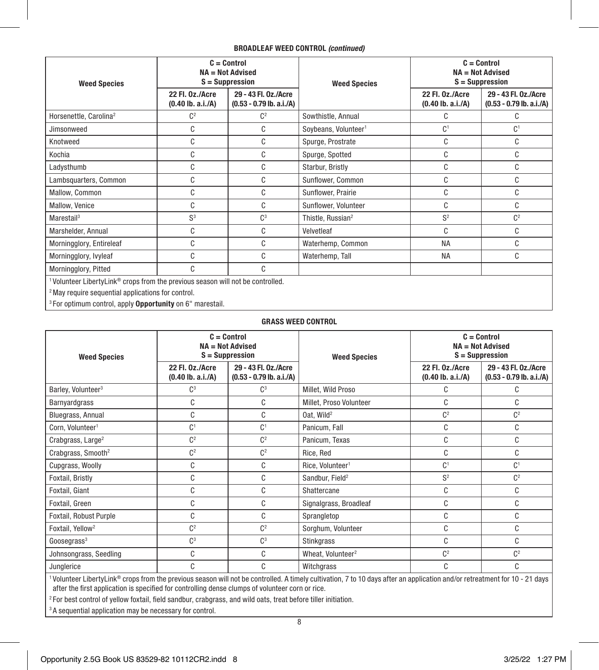### BROADLEAF WEED CONTROL *(continued)*

| <b>Weed Species</b>                                                                                                                                                      |                                        | $C = Control$<br>$NA = Not$ Advised<br>$S =$ Suppression | <b>Weed Species</b>              |                                        | $C = Control$<br><b>NA = Not Advised</b><br>$S =$ Suppression |  |
|--------------------------------------------------------------------------------------------------------------------------------------------------------------------------|----------------------------------------|----------------------------------------------------------|----------------------------------|----------------------------------------|---------------------------------------------------------------|--|
|                                                                                                                                                                          | 22 Fl. 0z./Acre<br>$(0.40$ lb. a.i./A) | 29 - 43 Fl. 0z./Acre<br>$(0.53 - 0.79$ lb. a.i./A)       |                                  | 22 Fl. 0z./Acre<br>$(0.40$ lb. a.i./A) | 29 - 43 Fl. 0z./Acre<br>$(0.53 - 0.79$ lb. a.i./A)            |  |
| Horsenettle, Carolina <sup>2</sup>                                                                                                                                       | C <sup>2</sup>                         | C <sup>2</sup>                                           | Sowthistle, Annual               | C                                      | C                                                             |  |
| Jimsonweed                                                                                                                                                               | C                                      | C                                                        | Soybeans, Volunteer <sup>1</sup> | C <sup>1</sup>                         | C <sup>1</sup>                                                |  |
| Knotweed                                                                                                                                                                 | C                                      | C                                                        | Spurge, Prostrate                | C                                      | C                                                             |  |
| Kochia                                                                                                                                                                   | C                                      | C                                                        | Spurge, Spotted                  | C                                      | C                                                             |  |
| Ladysthumb                                                                                                                                                               | C                                      | C                                                        | Starbur, Bristly                 | C                                      | C                                                             |  |
| Lambsquarters, Common                                                                                                                                                    | C                                      | C                                                        | Sunflower, Common                | C                                      | C                                                             |  |
| Mallow, Common                                                                                                                                                           | C                                      | C                                                        | Sunflower, Prairie               | C                                      | C                                                             |  |
| Mallow, Venice                                                                                                                                                           | C                                      | C                                                        | Sunflower, Volunteer             | C                                      | C                                                             |  |
| Marestail <sup>3</sup>                                                                                                                                                   | S <sup>3</sup>                         | $\mathbb{C}^3$                                           | Thistle, Russian <sup>2</sup>    | S <sup>2</sup>                         | C <sup>2</sup>                                                |  |
| Marshelder, Annual                                                                                                                                                       | C                                      | C                                                        | Velvetleaf                       | C                                      | C                                                             |  |
| Morningglory, Entireleaf                                                                                                                                                 | C                                      | C                                                        | Waterhemp, Common                | <b>NA</b>                              | C                                                             |  |
| Morningglory, Ivyleaf                                                                                                                                                    | C                                      | C                                                        | Waterhemp, Tall                  | <b>NA</b>                              | C                                                             |  |
| Morningglory, Pitted                                                                                                                                                     | C                                      | C                                                        |                                  |                                        |                                                               |  |
| <sup>1</sup> Volunteer Liberty Link <sup>®</sup> crops from the previous season will not be controlled.<br><sup>2</sup> May require sequential applications for control. |                                        |                                                          |                                  |                                        |                                                               |  |

3 For optimum control, apply Opportunity on 6" marestail.

### GRASS WEED CONTROL

| <b>Weed Species</b>                                                                                                                                                        |                                                                                              | $C = Control$<br>$NA = Not$ Advised<br>$S =$ Suppression | <b>Weed Species</b>                    | $C =$ Control<br>$NA = Not$ Advised<br>$S =$ Suppression |                |
|----------------------------------------------------------------------------------------------------------------------------------------------------------------------------|----------------------------------------------------------------------------------------------|----------------------------------------------------------|----------------------------------------|----------------------------------------------------------|----------------|
|                                                                                                                                                                            | 29 - 43 Fl. 0z./Acre<br>22 Fl. 0z./Acre<br>$(0.40$ lb. a.i./A)<br>$(0.53 - 0.79$ lb. a.i./A) |                                                          | 22 Fl. 0z./Acre<br>$(0.40$ lb. a.i./A) | 29 - 43 Fl. 0z./Acre<br>$(0.53 - 0.79$ lb. a.i./A)       |                |
| Barley, Volunteer <sup>3</sup>                                                                                                                                             | C <sup>3</sup>                                                                               | C <sup>3</sup>                                           | Millet, Wild Proso                     | C                                                        | C              |
| Barnyardgrass                                                                                                                                                              | C                                                                                            | C                                                        | Millet, Proso Volunteer                | C                                                        | C              |
| Bluegrass, Annual                                                                                                                                                          | C                                                                                            | C                                                        | Oat. Wild <sup>2</sup>                 | C <sup>2</sup>                                           | C <sup>2</sup> |
| Corn, Volunteer <sup>1</sup>                                                                                                                                               | C <sup>1</sup>                                                                               | C <sup>1</sup>                                           | Panicum, Fall                          | C                                                        | C              |
| Crabgrass, Large <sup>2</sup>                                                                                                                                              | C <sup>2</sup>                                                                               | C <sup>2</sup>                                           | Panicum, Texas                         | C                                                        | C              |
| Crabgrass, Smooth <sup>2</sup>                                                                                                                                             | C <sup>2</sup>                                                                               | C <sup>2</sup>                                           | Rice, Red                              | C                                                        | C              |
| Cupgrass, Woolly                                                                                                                                                           | C                                                                                            | C                                                        | Rice. Volunteer <sup>1</sup>           | C <sup>1</sup>                                           | C <sup>1</sup> |
| Foxtail, Bristly                                                                                                                                                           | C                                                                                            | C                                                        | Sandbur, Field <sup>2</sup>            | S <sup>2</sup>                                           | C <sup>2</sup> |
| Foxtail, Giant                                                                                                                                                             | C                                                                                            | C                                                        | Shattercane                            | C                                                        | C              |
| Foxtail, Green                                                                                                                                                             | C                                                                                            | C                                                        | Signalgrass, Broadleaf                 | C                                                        | C              |
| Foxtail, Robust Purple                                                                                                                                                     | C                                                                                            | C                                                        | Sprangletop                            | C                                                        | C              |
| Foxtail, Yellow <sup>2</sup>                                                                                                                                               | C <sup>2</sup>                                                                               | C <sup>2</sup>                                           | Sorghum, Volunteer                     | C                                                        | C              |
| Goosegrass <sup>3</sup>                                                                                                                                                    | C <sup>3</sup>                                                                               | C <sup>3</sup>                                           | Stinkgrass                             | C                                                        | C              |
| Johnsongrass, Seedling                                                                                                                                                     | C                                                                                            | C                                                        | Wheat, Volunteer <sup>2</sup>          | C <sup>2</sup>                                           | C <sup>2</sup> |
| Junglerice                                                                                                                                                                 | C                                                                                            | C                                                        | Witchgrass                             | C                                                        | C              |
| 1Volunteer LibertyLink® crops from the previous season will not be controlled. A timely cultivation, 7 to 10 days after an application and/or retreatment for 10 - 21 days |                                                                                              |                                                          |                                        |                                                          |                |

after the first application is specified for controlling dense clumps of volunteer corn or rice.

2 For best control of yellow foxtail, field sandbur, crabgrass, and wild oats, treat before tiller initiation.

<sup>3</sup>A sequential application may be necessary for control.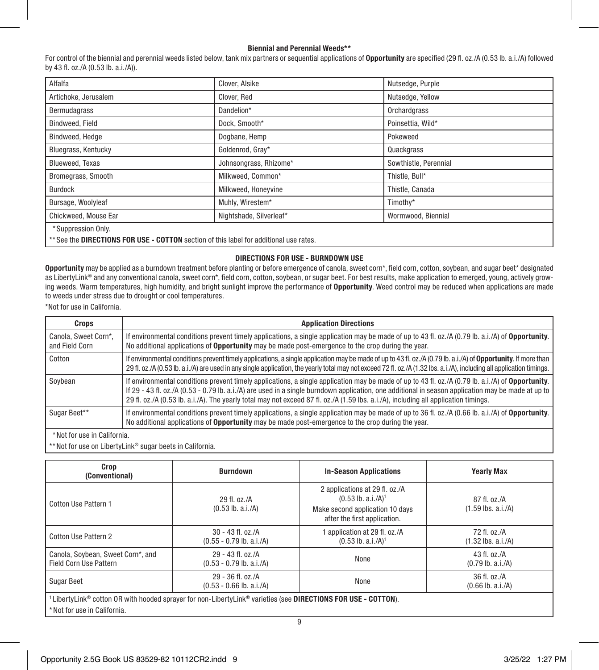### Biennial and Perennial Weeds\*\*

For control of the biennial and perennial weeds listed below, tank mix partners or sequential applications of Opportunity are specified (29 fl. oz./A (0.53 lb. a.i./A) followed by 43 fl. oz./A (0.53 lb. a.i./A)).

| Alfalfa                                                                                | Clover, Alsike          | Nutsedge, Purple      |  |
|----------------------------------------------------------------------------------------|-------------------------|-----------------------|--|
| Artichoke, Jerusalem                                                                   | Clover, Red             | Nutsedge, Yellow      |  |
| Bermudagrass                                                                           | Dandelion*              | Orchardgrass          |  |
| Bindweed, Field                                                                        | Dock, Smooth*           | Poinsettia, Wild*     |  |
| Bindweed, Hedge                                                                        | Dogbane, Hemp           | Pokeweed              |  |
| Bluegrass, Kentucky                                                                    | Goldenrod, Gray*        | Quackgrass            |  |
| Blueweed, Texas                                                                        | Johnsongrass, Rhizome*  | Sowthistle, Perennial |  |
| Bromegrass, Smooth                                                                     | Milkweed, Common*       | Thistle, Bull*        |  |
| <b>Burdock</b>                                                                         | Milkweed, Honeyvine     | Thistle, Canada       |  |
| Bursage, Woolyleaf                                                                     | Muhly, Wirestem*        | Timothy*              |  |
| Chickweed, Mouse Ear                                                                   | Nightshade, Silverleaf* | Wormwood, Biennial    |  |
| *Suppression Only.                                                                     |                         |                       |  |
| ** See the DIRECTIONS FOR USE - COTTON section of this label for additional use rates. |                         |                       |  |

### DIRECTIONS FOR USE - BURNDOWN USE

Opportunity may be applied as a burndown treatment before planting or before emergence of canola, sweet corn\*, field corn, cotton, soybean, and sugar beet\* designated as LibertyLink® and any conventional canola, sweet corn\*, field corn, cotton, soybean, or sugar beet. For best results, make application to emerged, young, actively growing weeds. Warm temperatures, high humidity, and bright sunlight improve the performance of Opportunity. Weed control may be reduced when applications are made to weeds under stress due to drought or cool temperatures.

\*Not for use in California.

| <b>Application Directions</b>                                                                                                                                                                                                                                                                                                                                                                                                                          |
|--------------------------------------------------------------------------------------------------------------------------------------------------------------------------------------------------------------------------------------------------------------------------------------------------------------------------------------------------------------------------------------------------------------------------------------------------------|
| If environmental conditions prevent timely applications, a single application may be made of up to 43 fl. oz./A (0.79 lb. a.i./A) of Opportunity.<br>No additional applications of <b>Opportunity</b> may be made post-emergence to the crop during the year.                                                                                                                                                                                          |
| If environmental conditions prevent timely applications, a single application may be made of up to 43 fl. oz./A (0.79 lb. a.i./A) of Opportunity. If more than<br>29 fl. oz./A (0.53 lb. a.i./A) are used in any single application, the yearly total may not exceed 72 fl. oz./A (1.32 lbs. a.i./A), including all application timings.                                                                                                               |
| If environmental conditions prevent timely applications, a single application may be made of up to 43 fl. oz./A (0.79 lb. a.i./A) of <b>Opportunity</b> .<br>If 29 - 43 fl. oz./A (0.53 - 0.79 lb. a.i./A) are used in a single burndown application, one additional in season application may be made at up to<br>29 fl. oz./A (0.53 lb. a.i./A). The yearly total may not exceed 87 fl. oz./A (1.59 lbs. a.i./A), including all application timings. |
| If environmental conditions prevent timely applications, a single application may be made of up to 36 fl. oz./A (0.66 lb. a.i./A) of Opportunity.<br>No additional applications of <b>Opportunity</b> may be made post-emergence to the crop during the year.                                                                                                                                                                                          |
|                                                                                                                                                                                                                                                                                                                                                                                                                                                        |

\* Not for use in California.

\*\* Not for use on LibertyLink® sugar beets in California.

| Crop<br>(Conventional)                                                                                           | <b>Burndown</b>                                   | <b>In-Season Applications</b>                                                                                 | <b>Yearly Max</b>                       |  |
|------------------------------------------------------------------------------------------------------------------|---------------------------------------------------|---------------------------------------------------------------------------------------------------------------|-----------------------------------------|--|
| Cotton Use Pattern 1                                                                                             | 29 fl. oz./A<br>$(0.53$ lb. a.i./A)               | 2 applications at 29 fl. oz./A<br>$(0.53 \text{ lb. a.i./A})$ <sup>1</sup><br>Make second application 10 days | 87 fl. oz./A<br>$(1.59$ lbs. a.i./A)    |  |
|                                                                                                                  |                                                   | after the first application.                                                                                  |                                         |  |
| Cotton Use Pattern 2                                                                                             | $30 - 43$ fl. oz./A<br>$(0.55 - 0.79$ lb. a.i./A) | application at 29 fl. oz./A<br>$(0.53 \text{ lb. a.i.} / \text{A})^1$                                         | 72 fl. oz./A<br>$(1.32$ lbs. a.i./A)    |  |
| Canola, Soybean, Sweet Corn*, and<br><b>Field Corn Use Pattern</b>                                               | $29 - 43$ fl. oz./A<br>$(0.53 - 0.79$ lb. a.i./A) | None                                                                                                          | 43 fl. $oz/A$<br>$(0.79 \, lb. a.i./A)$ |  |
| Sugar Beet                                                                                                       | $29 - 36$ fl. oz./A<br>$(0.53 - 0.66$ lb. a.i./A) | None                                                                                                          | $36$ fl. $oz/A$<br>$(0.66$ lb. a.i./A)  |  |
| $1$ LibertyLink® cotton OR with hooded sprayer for non-LibertyLink® varieties (see DIRECTIONS FOR USE - COTTON). |                                                   |                                                                                                               |                                         |  |

\* Not for use in California.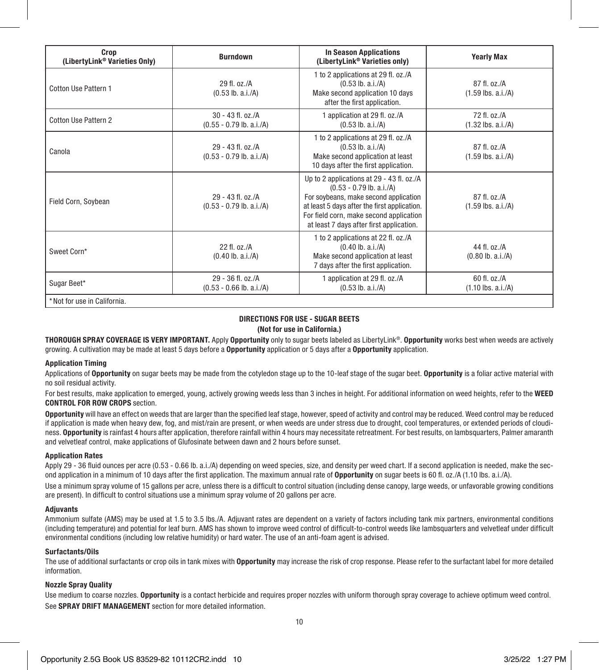| Crop<br>(LibertyLink® Varieties Only) | <b>Burndown</b>                                    | <b>In Season Applications</b><br>(LibertyLink® Varieties only)                                                                                                                                                                                          | <b>Yearly Max</b>                                    |
|---------------------------------------|----------------------------------------------------|---------------------------------------------------------------------------------------------------------------------------------------------------------------------------------------------------------------------------------------------------------|------------------------------------------------------|
| Cotton Use Pattern 1                  | $29$ fl. $oz/A$<br>$(0.53$ lb. a.i./A)             | 1 to 2 applications at 29 fl. oz./A<br>$(0.53$ lb. a.i./A)<br>Make second application 10 days<br>after the first application.                                                                                                                           | 87 fl. oz./A<br>$(1.59$ lbs. a.i./A)                 |
| Cotton Use Pattern 2                  | $30 - 43$ fl. $oz/A$<br>$(0.55 - 0.79$ lb. a.i./A) | 1 application at 29 fl. oz./A<br>$(0.53$ lb. a.i./A)                                                                                                                                                                                                    | 72 fl. oz./A<br>$(1.32$ lbs. a.i./A)                 |
| Canola                                | $29 - 43$ fl. oz./A<br>$(0.53 - 0.79$ lb. a.i./A)  | 1 to 2 applications at 29 fl. oz./A<br>$(0.53$ lb. a.i./A)<br>Make second application at least<br>10 days after the first application.                                                                                                                  | 87 fl. oz./A<br>$(1.59$ lbs. a.i./A)                 |
| Field Corn, Soybean                   | $29 - 43$ fl. oz./A<br>$(0.53 - 0.79$ lb. a.i./A)  | Up to 2 applications at 29 - 43 fl. oz./A<br>$(0.53 - 0.79$ lb. a.i./A)<br>For soybeans, make second application<br>at least 5 days after the first application.<br>For field corn, make second application<br>at least 7 days after first application. | 87 fl. oz./A<br>$(1.59$ lbs. a.i./A)                 |
| Sweet Corn*                           | $22$ fl. $oz/A$<br>$(0.40$ lb. a.i./A)             | 1 to 2 applications at 22 fl. oz./A<br>$(0.40$ lb. a.i./A)<br>Make second application at least<br>7 days after the first application.                                                                                                                   | 44 fl. oz./A<br>$(0.80 \, \text{lb. a.i.}/\text{A})$ |
| Sugar Beet*                           | $29 - 36$ fl. oz./A<br>$(0.53 - 0.66$ lb. a.i./A)  | 1 application at 29 fl. oz./A<br>$(0.53$ lb. a.i./A)                                                                                                                                                                                                    | $60$ fl. $oz/A$<br>$(1.10$ lbs. a.i./A)              |
| *Not for use in California.           |                                                    |                                                                                                                                                                                                                                                         |                                                      |

# DIRECTIONS FOR USE - SUGAR BEETS

(Not for use in California.)

THOROUGH SPRAY COVERAGE IS VERY IMPORTANT. Apply Opportunity only to sugar beets labeled as LibertyLink®. Opportunity works best when weeds are actively growing. A cultivation may be made at least 5 days before a Opportunity application or 5 days after a Opportunity application.

### Application Timing

Applications of Opportunity on sugar beets may be made from the cotyledon stage up to the 10-leaf stage of the sugar beet. Opportunity is a foliar active material with no soil residual activity.

For best results, make application to emerged, young, actively growing weeds less than 3 inches in height. For additional information on weed heights, refer to the WEED CONTROL FOR ROW CROPS section.

Opportunity will have an effect on weeds that are larger than the specified leaf stage, however, speed of activity and control may be reduced. Weed control may be reduced if application is made when heavy dew, fog, and mist/rain are present, or when weeds are under stress due to drought, cool temperatures, or extended periods of cloudiness. Opportunity is rainfast 4 hours after application, therefore rainfall within 4 hours may necessitate retreatment. For best results, on lambsquarters, Palmer amaranth and velvetleaf control, make applications of Glufosinate between dawn and 2 hours before sunset.

### Application Rates

Apply 29 - 36 fluid ounces per acre (0.53 - 0.66 lb. a.i./A) depending on weed species, size, and density per weed chart. If a second application is needed, make the second application in a minimum of 10 days after the first application. The maximum annual rate of Opportunity on sugar beets is 60 fl. oz./A (1.10 lbs. a.i./A).

Use a minimum spray volume of 15 gallons per acre, unless there is a difficult to control situation (including dense canopy, large weeds, or unfavorable growing conditions are present). In difficult to control situations use a minimum spray volume of 20 gallons per acre.

### Adjuvants

Ammonium sulfate (AMS) may be used at 1.5 to 3.5 lbs./A. Adjuvant rates are dependent on a variety of factors including tank mix partners, environmental conditions (including temperature) and potential for leaf burn. AMS has shown to improve weed control of difficult-to-control weeds like lambsquarters and velvetleaf under difficult environmental conditions (including low relative humidity) or hard water. The use of an anti-foam agent is advised.

### Surfactants/Oils

The use of additional surfactants or crop oils in tank mixes with Opportunity may increase the risk of crop response. Please refer to the surfactant label for more detailed information.

### Nozzle Spray Quality

Use medium to coarse nozzles. Opportunity is a contact herbicide and requires proper nozzles with uniform thorough spray coverage to achieve optimum weed control. See SPRAY DRIFT MANAGEMENT section for more detailed information.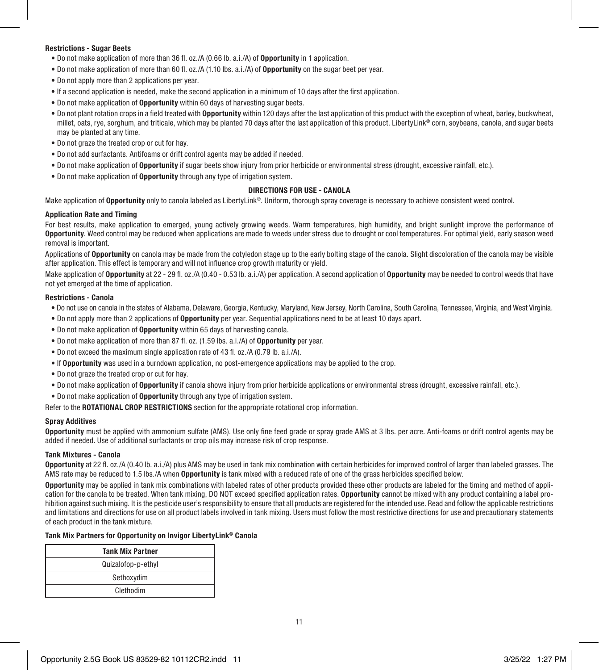### Restrictions - Sugar Beets

- Do not make application of more than 36 fl. oz./A (0.66 lb. a.i./A) of Opportunity in 1 application.
- Do not make application of more than 60 fl. oz./A (1.10 lbs. a.i./A) of Opportunity on the sugar beet per year.
- Do not apply more than 2 applications per year.
- If a second application is needed, make the second application in a minimum of 10 days after the first application.
- Do not make application of Opportunity within 60 days of harvesting sugar beets.
- Do not plant rotation crops in a field treated with Opportunity within 120 days after the last application of this product with the exception of wheat, barley, buckwheat, millet, oats, rye, sorghum, and triticale, which may be planted 70 days after the last application of this product. LibertyLink® corn, soybeans, canola, and sugar beets may be planted at any time.
- Do not graze the treated crop or cut for hay.
- Do not add surfactants. Antifoams or drift control agents may be added if needed.
- Do not make application of Opportunity if sugar beets show injury from prior herbicide or environmental stress (drought, excessive rainfall, etc.).
- Do not make application of Opportunity through any type of irrigation system.

### DIRECTIONS FOR USE - CANOLA

Make application of Opportunity only to canola labeled as LibertyLink®. Uniform, thorough spray coverage is necessary to achieve consistent weed control.

### Application Rate and Timing

For best results, make application to emerged, young actively growing weeds. Warm temperatures, high humidity, and bright sunlight improve the performance of Opportunity. Weed control may be reduced when applications are made to weeds under stress due to drought or cool temperatures. For optimal yield, early season weed removal is important.

Applications of Opportunity on canola may be made from the cotyledon stage up to the early bolting stage of the canola. Slight discoloration of the canola may be visible after application. This effect is temporary and will not influence crop growth maturity or yield.

Make application of Opportunity at 22 - 29 fl. oz./A (0.40 - 0.53 lb. a.i./A) per application. A second application of Opportunity may be needed to control weeds that have not yet emerged at the time of application.

### Restrictions - Canola

- Do not use on canola in the states of Alabama, Delaware, Georgia, Kentucky, Maryland, New Jersey, North Carolina, South Carolina, Tennessee, Virginia, and West Virginia.
- Do not apply more than 2 applications of Opportunity per year. Sequential applications need to be at least 10 days apart.
- Do not make application of Opportunity within 65 days of harvesting canola.
- Do not make application of more than 87 fl. oz. (1.59 lbs. a.i./A) of Opportunity per year.
- Do not exceed the maximum single application rate of 43 fl. oz./A (0.79 lb. a.i./A).
- If Opportunity was used in a burndown application, no post-emergence applications may be applied to the crop.
- Do not graze the treated crop or cut for hay.
- Do not make application of Opportunity if canola shows injury from prior herbicide applications or environmental stress (drought, excessive rainfall, etc.).
- Do not make application of Opportunity through any type of irrigation system.

Refer to the ROTATIONAL CROP RESTRICTIONS section for the appropriate rotational crop information.

### Spray Additives

Opportunity must be applied with ammonium sulfate (AMS). Use only fine feed grade or spray grade AMS at 3 lbs. per acre. Anti-foams or drift control agents may be added if needed. Use of additional surfactants or crop oils may increase risk of crop response.

### Tank Mixtures - Canola

Opportunity at 22 fl. oz./A (0.40 lb. a.i./A) plus AMS may be used in tank mix combination with certain herbicides for improved control of larger than labeled grasses. The AMS rate may be reduced to 1.5 lbs./A when Opportunity is tank mixed with a reduced rate of one of the grass herbicides specified below.

Opportunity may be applied in tank mix combinations with labeled rates of other products provided these other products are labeled for the timing and method of application for the canola to be treated. When tank mixing, DO NOT exceed specified application rates. **Opportunity** cannot be mixed with any product containing a label prohibition against such mixing. It is the pesticide user's responsibility to ensure that all products are registered for the intended use. Read and follow the applicable restrictions and limitations and directions for use on all product labels involved in tank mixing. Users must follow the most restrictive directions for use and precautionary statements of each product in the tank mixture.

### Tank Mix Partners for Opportunity on Invigor LibertyLink® Canola

| <b>Tank Mix Partner</b> |
|-------------------------|
| Quizalofop-p-ethyl      |
| Sethoxydim              |
| Clethodim               |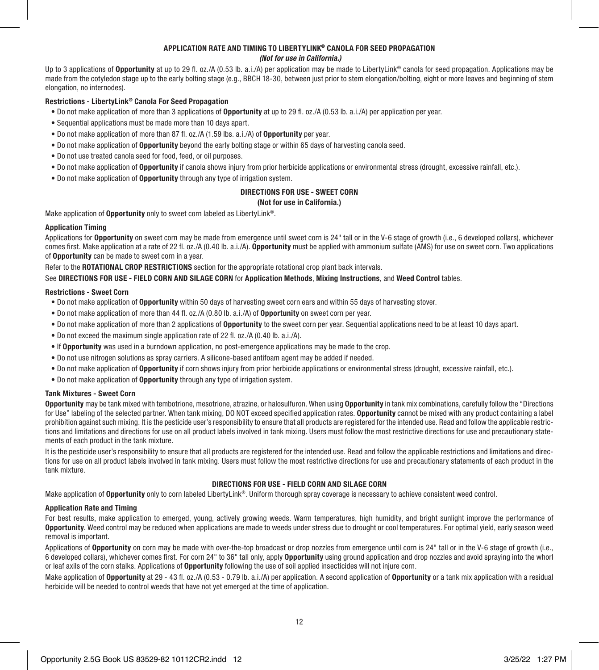### APPLICATION RATE AND TIMING TO LIBERTYLINK® CANOLA FOR SEED PROPAGATION  *(Not for use in California.)*

Up to 3 applications of **Opportunity** at up to 29 fl. oz./A (0.53 lb. a.i./A) per application may be made to LibertyLink<sup>®</sup> canola for seed propagation. Applications may be made from the cotyledon stage up to the early bolting stage (e.g., BBCH 18-30, between just prior to stem elongation/bolting, eight or more leaves and beginning of stem elongation, no internodes).

### Restrictions - LibertyLink® Canola For Seed Propagation

- Do not make application of more than 3 applications of **Opportunity** at up to 29 fl. oz./A (0.53 lb. a.i./A) per application per year.
- Sequential applications must be made more than 10 days apart.
- Do not make application of more than 87 fl. oz./A (1.59 lbs. a.i./A) of Opportunity per year.
- Do not make application of Opportunity beyond the early bolting stage or within 65 days of harvesting canola seed.
- Do not use treated canola seed for food, feed, or oil purposes.
- Do not make application of Opportunity if canola shows injury from prior herbicide applications or environmental stress (drought, excessive rainfall, etc.).
- Do not make application of **Opportunity** through any type of irrigation system.

# DIRECTIONS FOR USE - SWEET CORN

### (Not for use in California.)

Make application of Opportunity only to sweet corn labeled as LibertyLink®.

### Application Timing

Applications for Opportunity on sweet corn may be made from emergence until sweet corn is 24" tall or in the V-6 stage of growth (i.e., 6 developed collars), whichever comes first. Make application at a rate of 22 fl. oz./A (0.40 lb. a.i./A). Opportunity must be applied with ammonium sulfate (AMS) for use on sweet corn. Two applications of Opportunity can be made to sweet corn in a year.

Refer to the ROTATIONAL CROP RESTRICTIONS section for the appropriate rotational crop plant back intervals.

See DIRECTIONS FOR USE - FIELD CORN AND SILAGE CORN for Application Methods, Mixing Instructions, and Weed Control tables.

### Restrictions - Sweet Corn

- Do not make application of Opportunity within 50 days of harvesting sweet corn ears and within 55 days of harvesting stover.
- Do not make application of more than 44 fl. oz./A (0.80 lb. a.i./A) of Opportunity on sweet corn per year.
- Do not make application of more than 2 applications of Opportunity to the sweet corn per year. Sequential applications need to be at least 10 days apart.
- Do not exceed the maximum single application rate of 22 fl. oz./A (0.40 lb. a.i./A).
- If Opportunity was used in a burndown application, no post-emergence applications may be made to the crop.
- Do not use nitrogen solutions as spray carriers. A silicone-based antifoam agent may be added if needed.
- Do not make application of Opportunity if corn shows injury from prior herbicide applications or environmental stress (drought, excessive rainfall, etc.).
- Do not make application of **Opportunity** through any type of irrigation system.

### Tank Mixtures - Sweet Corn

Opportunity may be tank mixed with tembotrione, mesotrione, atrazine, or halosulfuron. When using Opportunity in tank mix combinations, carefully follow the "Directions for Use" labeling of the selected partner. When tank mixing, DO NOT exceed specified application rates. **Opportunity** cannot be mixed with any product containing a label prohibition against such mixing. It is the pesticide user's responsibility to ensure that all products are registered for the intended use. Read and follow the applicable restrictions and limitations and directions for use on all product labels involved in tank mixing. Users must follow the most restrictive directions for use and precautionary statements of each product in the tank mixture.

It is the pesticide user's responsibility to ensure that all products are registered for the intended use. Read and follow the applicable restrictions and limitations and directions for use on all product labels involved in tank mixing. Users must follow the most restrictive directions for use and precautionary statements of each product in the tank mixture.

### DIRECTIONS FOR USE - FIELD CORN AND SILAGE CORN

Make application of **Opportunity** only to corn labeled LibertyLink®. Uniform thorough spray coverage is necessary to achieve consistent weed control.

### Application Rate and Timing

For best results, make application to emerged, young, actively growing weeds. Warm temperatures, high humidity, and bright sunlight improve the performance of Opportunity. Weed control may be reduced when applications are made to weeds under stress due to drought or cool temperatures. For optimal yield, early season weed removal is important.

Applications of Opportunity on corn may be made with over-the-top broadcast or drop nozzles from emergence until corn is 24" tall or in the V-6 stage of growth (i.e., 6 developed collars), whichever comes first. For corn 24" to 36" tall only, apply **Opportunity** using ground application and drop nozzles and avoid spraying into the whorl or leaf axils of the corn stalks. Applications of Opportunity following the use of soil applied insecticides will not injure corn.

Make application of Opportunity at 29 - 43 fl. oz./A (0.53 - 0.79 lb. a.i./A) per application. A second application of Opportunity or a tank mix application with a residual herbicide will be needed to control weeds that have not yet emerged at the time of application.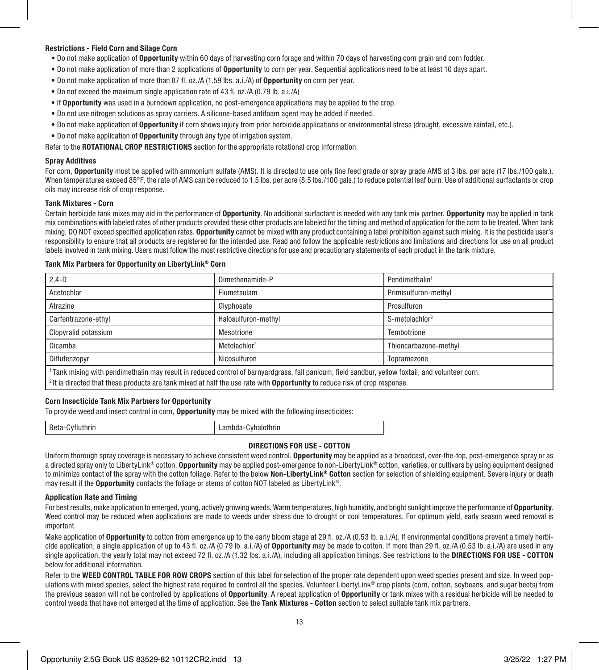### Restrictions - Field Corn and Silage Corn

- Do not make application of Opportunity within 60 days of harvesting corn forage and within 70 days of harvesting corn grain and corn fodder.
- Do not make application of more than 2 applications of Opportunity to corn per year. Sequential applications need to be at least 10 days apart.
- Do not make application of more than 87 fl. oz./A (1.59 lbs. a.i./A) of Opportunity on corn per year.
- Do not exceed the maximum single application rate of 43 fl. oz./A (0.79 lb. a.i./A)
- If Opportunity was used in a burndown application, no post-emergence applications may be applied to the crop.
- Do not use nitrogen solutions as spray carriers. A silicone-based antifoam agent may be added if needed.
- Do not make application of Opportunity if corn shows injury from prior herbicide applications or environmental stress (drought, excessive rainfall, etc.).
- Do not make application of Opportunity through any type of irrigation system.

Refer to the ROTATIONAL CROP RESTRICTIONS section for the appropriate rotational crop information.

### Spray Additives

For corn, Opportunity must be applied with ammonium sulfate (AMS). It is directed to use only fine feed grade or spray grade AMS at 3 lbs. per acre (17 lbs./100 gals.). When temperatures exceed 85°F, the rate of AMS can be reduced to 1.5 lbs. per acre (8.5 lbs./100 gals.) to reduce potential leaf burn. Use of additional surfactants or crop oils may increase risk of crop response.

### Tank Mixtures - Corn

Certain herbicide tank mixes may aid in the performance of Opportunity. No additional surfactant is needed with any tank mix partner. Opportunity may be applied in tank mix combinations with labeled rates of other products provided these other products are labeled for the timing and method of application for the corn to be treated. When tank mixing, DO NOT exceed specified application rates. Opportunity cannot be mixed with any product containing a label prohibition against such mixing. It is the pesticide user's responsibility to ensure that all products are registered for the intended use. Read and follow the applicable restrictions and limitations and directions for use on all product labels involved in tank mixing. Users must follow the most restrictive directions for use and precautionary statements of each product in the tank mixture.

### Tank Mix Partners for Opportunity on LibertyLink® Corn

| $2.4 - D$                                                                                                                                                    | Dimethenamide-P          | Pendimethalin <sup>1</sup>    |  |
|--------------------------------------------------------------------------------------------------------------------------------------------------------------|--------------------------|-------------------------------|--|
| Acetochlor                                                                                                                                                   | Flumetsulam              | Primisulfuron-methyl          |  |
| Atrazine                                                                                                                                                     | Glyphosate               | Prosulfuron                   |  |
| Carfentrazone-ethyl                                                                                                                                          | Halosulfuron-methyl      | $S$ -metolachlor <sup>2</sup> |  |
| Clopyralid potassium                                                                                                                                         | Mesotrione               | Tembotrione                   |  |
| Dicamba                                                                                                                                                      | Metolachlor <sup>2</sup> | Thiencarbazone-methyl         |  |
| Diflufenzopyr                                                                                                                                                | Nicosulfuron             | Topramezone                   |  |
| <sup>1</sup> Tank mixing with pendimethalin may result in reduced control of barnyardgrass, fall panicum, field sandbur, yellow foxtail, and volunteer corn. |                          |                               |  |
| <sup>2</sup> It is directed that these products are tank mixed at half the use rate with <b>Opportunity</b> to reduce risk of crop response.                 |                          |                               |  |

### Corn Insecticide Tank Mix Partners for Opportunity

To provide weed and insect control in corn, Opportunity may be mixed with the following insecticides:

| Beta-Cyfluthrin | Lambda-Cyhalothrin |
|-----------------|--------------------|
|-----------------|--------------------|

### DIRECTIONS FOR USE - COTTON

Uniform thorough spray coverage is necessary to achieve consistent weed control. **Opportunity** may be applied as a broadcast, over-the-top, post-emergence spray or as a directed spray only to LibertyLink® cotton. Opportunity may be applied post-emergence to non-LibertyLink® cotton, varieties, or cultivars by using equipment designed to minimize contact of the spray with the cotton foliage. Refer to the below Non-LibertyLink® Cotton section for selection of shielding equipment. Severe injury or death may result if the Opportunity contacts the foliage or stems of cotton NOT labeled as LibertyLink®.

### Application Rate and Timing

For best results, make application to emerged, young, actively growing weeds. Warm temperatures, high humidity, and bright sunlight improve the performance of Opportunity. Weed control may be reduced when applications are made to weeds under stress due to drought or cool temperatures. For optimum yield, early season weed removal is important.

Make application of Opportunity to cotton from emergence up to the early bloom stage at 29 fl. oz./A (0.53 lb. a.i./A). If environmental conditions prevent a timely herbicide application, a single application of up to 43 fl. oz./A (0.79 lb. a.i./A) of Opportunity may be made to cotton. If more than 29 fl. oz./A (0.53 lb. a.i./A) are used in any single application, the yearly total may not exceed 72 fl. oz./A (1.32 lbs. a.i./A), including all application timings. See restrictions to the DIRECTIONS FOR USE - COTTON below for additional information.

Refer to the WEED CONTROL TABLE FOR ROW CROPS section of this label for selection of the proper rate dependent upon weed species present and size. In weed populations with mixed species, select the highest rate required to control all the species. Volunteer LibertyLink® crop plants (corn, cotton, soybeans, and sugar beets) from the previous season will not be controlled by applications of Opportunity. A repeat application of Opportunity or tank mixes with a residual herbicide will be needed to control weeds that have not emerged at the time of application. See the Tank Mixtures - Cotton section to select suitable tank mix partners.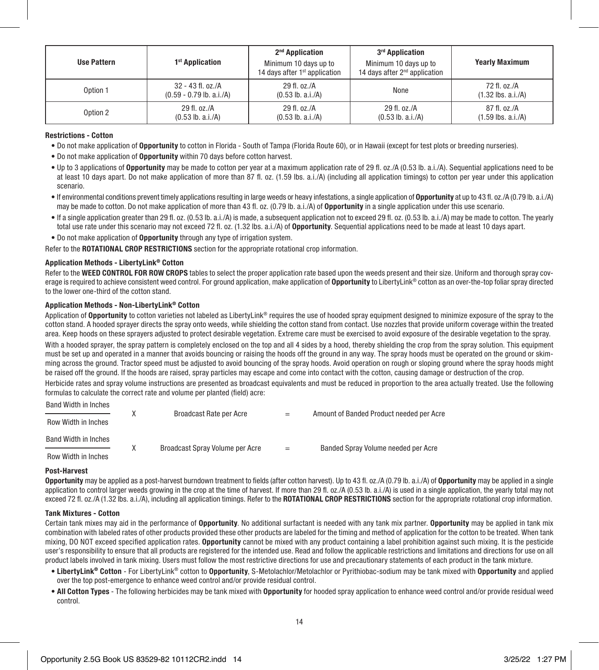| <b>Use Pattern</b> | 1 <sup>st</sup> Application                     | 2 <sup>nd</sup> Application<br>Minimum 10 days up to<br>14 days after 1 <sup>st</sup> application | 3 <sup>rd</sup> Application<br>Minimum 10 days up to<br>14 days after 2 <sup>nd</sup> application | <b>Yearly Maximum</b>                |
|--------------------|-------------------------------------------------|---------------------------------------------------------------------------------------------------|---------------------------------------------------------------------------------------------------|--------------------------------------|
| Option 1           | 32 - 43 fl. oz./A<br>$(0.59 - 0.79$ lb. a.i./A) | 29 fl. oz./A<br>$(0.53 \, lb. a.i./A)$                                                            | None                                                                                              | 72 fl. oz./A<br>$(1.32$ lbs. a.i./A) |
| Option 2           | 29 fl. oz./A<br>$(0.53$ lb. a.i./A)             | 29 fl. oz./A<br>$(0.53$ lb. a.i./A)                                                               | 29 fl. oz./A<br>$(0.53$ lb. a.i./A)                                                               | 87 fl. oz./A<br>$(1.59$ lbs. a.i./A) |

### Restrictions - Cotton

- Do not make application of Opportunity to cotton in Florida South of Tampa (Florida Route 60), or in Hawaii (except for test plots or breeding nurseries).
- Do not make application of Opportunity within 70 days before cotton harvest.
- Up to 3 applications of **Opportunity** may be made to cotton per year at a maximum application rate of 29 fl. oz./A (0.53 lb. a.i./A). Sequential applications need to be at least 10 days apart. Do not make application of more than 87 fl. oz. (1.59 lbs. a.i./A) (including all application timings) to cotton per year under this application scenario.
- If environmental conditions prevent timely applications resulting in large weeds or heavy infestations, a single application of Opportunity at up to 43 fl. oz./A (0.79 lb. a.i./A) may be made to cotton. Do not make application of more than 43 fl. oz. (0.79 lb. a.i./A) of Opportunity in a single application under this use scenario.
- If a single application greater than 29 fl. oz. (0.53 lb. a.i./A) is made, a subsequent application not to exceed 29 fl. oz. (0.53 lb. a.i./A) may be made to cotton. The yearly total use rate under this scenario may not exceed 72 fl. oz. (1.32 lbs. a.i./A) of Opportunity. Sequential applications need to be made at least 10 days apart.

• Do not make application of Opportunity through any type of irrigation system.

Refer to the **ROTATIONAL CROP RESTRICTIONS** section for the appropriate rotational crop information.

### Application Methods - LibertyLink® Cotton

Refer to the WEED CONTROL FOR ROW CROPS tables to select the proper application rate based upon the weeds present and their size. Uniform and thorough spray coverage is required to achieve consistent weed control. For ground application, make application of Opportunity to LibertyLink® cotton as an over-the-top foliar spray directed to the lower one-third of the cotton stand.

### Application Methods - Non-LibertyLink® Cotton

Application of Opportunity to cotton varieties not labeled as LibertyLink® requires the use of hooded spray equipment designed to minimize exposure of the spray to the cotton stand. A hooded sprayer directs the spray onto weeds, while shielding the cotton stand from contact. Use nozzles that provide uniform coverage within the treated area. Keep hoods on these sprayers adjusted to protect desirable vegetation. Extreme care must be exercised to avoid exposure of the desirable vegetation to the spray.

With a hooded sprayer, the spray pattern is completely enclosed on the top and all 4 sides by a hood, thereby shielding the crop from the spray solution. This equipment must be set up and operated in a manner that avoids bouncing or raising the hoods off the ground in any way. The spray hoods must be operated on the ground or skimming across the ground. Tractor speed must be adjusted to avoid bouncing of the spray hoods. Avoid operation on rough or sloping ground where the spray hoods might be raised off the ground. If the hoods are raised, spray particles may escape and come into contact with the cotton, causing damage or destruction of the crop.

Herbicide rates and spray volume instructions are presented as broadcast equivalents and must be reduced in proportion to the area actually treated. Use the following formulas to calculate the correct rate and volume per planted (field) acre:

Band Width in Inches

| Row Width in Inches  | Broadcast Rate per Acre         | $=$ | Amount of Banded Product needed per Acre |
|----------------------|---------------------------------|-----|------------------------------------------|
| Band Width in Inches | Broadcast Spray Volume per Acre | $=$ | Banded Spray Volume needed per Acre      |
| Row Width in Inches  |                                 |     |                                          |

### Post-Harvest

Opportunity may be applied as a post-harvest burndown treatment to fields (after cotton harvest). Up to 43 fl. oz./A (0.79 lb. a.i./A) of Opportunity may be applied in a single application to control larger weeds growing in the crop at the time of harvest. If more than 29 fl. oz./A (0.53 lb. a.i./A) is used in a single application, the yearly total may not exceed 72 fl. oz./A (1.32 lbs. a.i./A), including all application timings. Refer to the ROTATIONAL CROP RESTRICTIONS section for the appropriate rotational crop information.

### Tank Mixtures - Cotton

Certain tank mixes may aid in the performance of **Opportunity**. No additional surfactant is needed with any tank mix partner. **Opportunity** may be applied in tank mix combination with labeled rates of other products provided these other products are labeled for the timing and method of application for the cotton to be treated. When tank mixing, DO NOT exceed specified application rates. Opportunity cannot be mixed with any product containing a label prohibition against such mixing. It is the pesticide user's responsibility to ensure that all products are registered for the intended use. Read and follow the applicable restrictions and limitations and directions for use on all product labels involved in tank mixing. Users must follow the most restrictive directions for use and precautionary statements of each product in the tank mixture.

- LibertyLink® Cotton For LibertyLink® cotton to Opportunity, S-Metolachlor/Metolachlor or Pyrithiobac-sodium may be tank mixed with Opportunity and applied over the top post-emergence to enhance weed control and/or provide residual control.
- All Cotton Types The following herbicides may be tank mixed with Opportunity for hooded spray application to enhance weed control and/or provide residual weed control.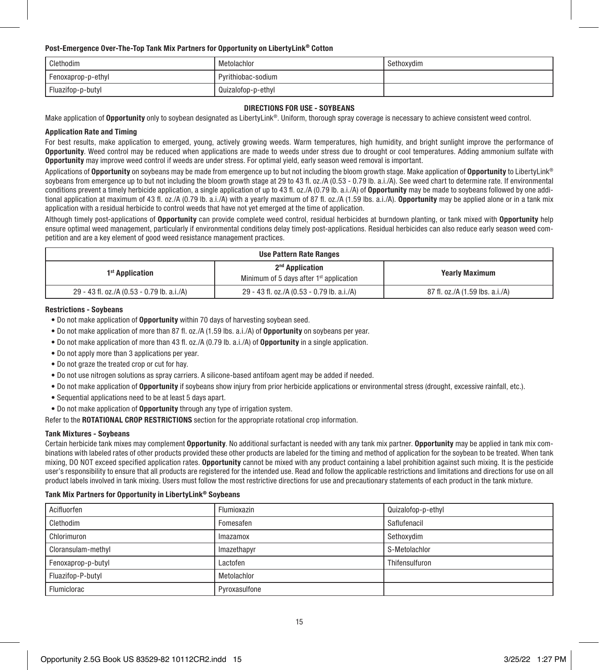### Post-Emergence Over-The-Top Tank Mix Partners for Opportunity on LibertyLink® Cotton

| Clethodim          | Metolachlor        | Sethoxydim |
|--------------------|--------------------|------------|
| Fenoxaprop-p-ethyl | Pyrithiobac-sodium |            |
| Fluazifop-p-butyl  | Quizalofop-p-ethyl |            |

### DIRECTIONS FOR USE - SOYBEANS

Make application of Opportunity only to soybean designated as LibertyLink®. Uniform, thorough spray coverage is necessary to achieve consistent weed control.

### Application Rate and Timing

For best results, make application to emerged, young, actively growing weeds. Warm temperatures, high humidity, and bright sunlight improve the performance of Opportunity. Weed control may be reduced when applications are made to weeds under stress due to drought or cool temperatures. Adding ammonium sulfate with Opportunity may improve weed control if weeds are under stress. For optimal yield, early season weed removal is important.

Applications of Opportunity on soybeans may be made from emergence up to but not including the bloom growth stage. Make application of Opportunity to LibertyLink® soybeans from emergence up to but not including the bloom growth stage at 29 to 43 fl. oz./A (0.53 - 0.79 lb. a.i./A). See weed chart to determine rate. If environmental conditions prevent a timely herbicide application, a single application of up to 43 fl. oz./A (0.79 lb, a.i./A) of **Opportunity** may be made to soybeans followed by one additional application at maximum of 43 fl. oz./A (0.79 lb. a.i./A) with a yearly maximum of 87 fl. oz./A (1.59 lbs. a.i./A). Opportunity may be applied alone or in a tank mix application with a residual herbicide to control weeds that have not yet emerged at the time of application.

Although timely post-applications of Opportunity can provide complete weed control, residual herbicides at burndown planting, or tank mixed with Opportunity help ensure optimal weed management, particularly if environmental conditions delay timely post-applications. Residual herbicides can also reduce early season weed competition and are a key element of good weed resistance management practices.

| <b>Use Pattern Rate Ranges</b>             |                                                                          |                                 |
|--------------------------------------------|--------------------------------------------------------------------------|---------------------------------|
| 1 <sup>st</sup> Application                | 2 <sup>nd</sup> Application<br>Minimum of 5 days after $1st$ application | <b>Yearly Maximum</b>           |
| 29 - 43 fl. oz./A (0.53 - 0.79 lb. a.i./A) | 29 - 43 fl. oz./A (0.53 - 0.79 lb. a.i./A)                               | 87 fl. oz./A (1.59 lbs. a.i./A) |

### Restrictions - Soybeans

- Do not make application of Opportunity within 70 days of harvesting soybean seed.
- Do not make application of more than 87 fl. oz./A (1.59 lbs. a.i./A) of Opportunity on soybeans per year.
- Do not make application of more than 43 fl. oz./A (0.79 lb. a.i./A) of Opportunity in a single application.
- Do not apply more than 3 applications per year.
- Do not graze the treated crop or cut for hay.
- Do not use nitrogen solutions as spray carriers. A silicone-based antifoam agent may be added if needed.
- Do not make application of Opportunity if soybeans show injury from prior herbicide applications or environmental stress (drought, excessive rainfall, etc.).
- Sequential applications need to be at least 5 days apart.
- Do not make application of Opportunity through any type of irrigation system.

Refer to the **ROTATIONAL CROP RESTRICTIONS** section for the appropriate rotational crop information.

### Tank Mixtures - Soybeans

Certain herbicide tank mixes may complement **Opportunity**. No additional surfactant is needed with any tank mix partner. **Opportunity** may be applied in tank mix combinations with labeled rates of other products provided these other products are labeled for the timing and method of application for the soybean to be treated. When tank mixing, DO NOT exceed specified application rates. Opportunity cannot be mixed with any product containing a label prohibition against such mixing. It is the pesticide user's responsibility to ensure that all products are registered for the intended use. Read and follow the applicable restrictions and limitations and directions for use on all product labels involved in tank mixing. Users must follow the most restrictive directions for use and precautionary statements of each product in the tank mixture.

### Tank Mix Partners for Opportunity in LibertyLink® Soybeans

| Acifluorfen        | Flumioxazin   | Quizalofop-p-ethyl |
|--------------------|---------------|--------------------|
| Clethodim          | Fomesafen     | Saflufenacil       |
| Chlorimuron        | Imazamox      | Sethoxydim         |
| Cloransulam-methyl | Imazethapyr   | S-Metolachlor      |
| Fenoxaprop-p-butyl | Lactofen      | Thifensulfuron     |
| Fluazifop-P-butyl  | Metolachlor   |                    |
| Flumiclorac        | Pyroxasulfone |                    |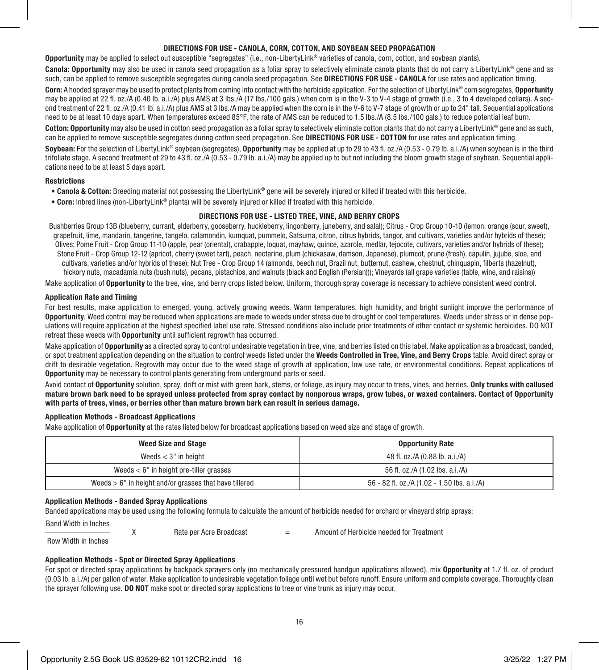### DIRECTIONS FOR USE - CANOLA, CORN, COTTON, AND SOYBEAN SEED PROPAGATION

Opportunity may be applied to select out susceptible "segregates" (i.e., non-LibertyLink® varieties of canola, corn, cotton, and soybean plants).

Canola: Opportunity may also be used in canola seed propagation as a foliar spray to selectively eliminate canola plants that do not carry a LibertyLink® gene and as such, can be applied to remove susceptible segregates during canola seed propagation. See DIRECTIONS FOR USE - CANOLA for use rates and application timing.

Corn: A hooded sprayer may be used to protect plants from coming into contact with the herbicide application. For the selection of LibertyLink® corn segregates, Opportunity may be applied at 22 fl. oz./A (0.40 lb. a.i./A) plus AMS at 3 lbs./A (17 lbs./100 gals.) when corn is in the V-3 to V-4 stage of growth (i.e., 3 to 4 developed collars). A second treatment of 22 fl. oz./A (0.41 lb. a.i./A) plus AMS at 3 lbs./A may be applied when the corn is in the V-6 to V-7 stage of growth or up to 24" tall. Sequential applications need to be at least 10 days apart. When temperatures exceed 85°F, the rate of AMS can be reduced to 1.5 lbs./A (8.5 lbs./100 gals.) to reduce potential leaf burn.

Cotton: Opportunity may also be used in cotton seed propagation as a foliar spray to selectively eliminate cotton plants that do not carry a LibertyLink® gene and as such. can be applied to remove susceptible segregates during cotton seed propagation. See DIRECTIONS FOR USE - COTTON for use rates and application timing.

Soybean: For the selection of LibertyLink® soybean (segregates), Opportunity may be applied at up to 29 to 43 fl. oz./A (0.53 - 0.79 lb. a.i./A) when soybean is in the third trifoliate stage. A second treatment of 29 to 43 fl. oz./A (0.53 - 0.79 lb. a.i./A) may be applied up to but not including the bloom growth stage of soybean. Sequential applications need to be at least 5 days apart.

### Restrictions

- Canola & Cotton: Breeding material not possessing the LibertyLink® gene will be severely injured or killed if treated with this herbicide.
- Corn: Inbred lines (non-LibertyLink® plants) will be severely injured or killed if treated with this herbicide.

### DIRECTIONS FOR USE - LISTED TREE, VINE, AND BERRY CROPS

Bushberries Group 13B (blueberry, currant, elderberry, gooseberry, huckleberry, lingonberry, juneberry, and salal); Citrus - Crop Group 10-10 (lemon, orange (sour, sweet), grapefruit, lime, mandarin, tangerine, tangelo, calamondin, kumquat, pummelo, Satsuma, citron, citrus hybrids, tangor, and cultivars, varieties and/or hybrids of these); Olives; Pome Fruit - Crop Group 11-10 (apple, pear (oriental), crabapple, loquat, mayhaw, quince, azarole, medlar, tejocote, cultivars, varieties and/or hybrids of these); Stone Fruit - Crop Group 12-12 (apricot, cherry (sweet tart), peach, nectarine, plum (chickasaw, damson, Japanese), plumcot, prune (fresh), capulin, jujube, sloe, and cultivars, varieties and/or hybrids of these); Nut Tree - Crop Group 14 (almonds, beech nut, Brazil nut, butternut, cashew, chestnut, chinquapin, filberts (hazelnut), hickory nuts, macadamia nuts (bush nuts), pecans, pistachios, and walnuts (black and English (Persian))); Vineyards (all grape varieties (table, wine, and raisins))

Make application of Opportunity to the tree, vine, and berry crops listed below. Uniform, thorough spray coverage is necessary to achieve consistent weed control.

### Application Rate and Timing

For best results, make application to emerged, young, actively growing weeds. Warm temperatures, high humidity, and bright sunlight improve the performance of Opportunity. Weed control may be reduced when applications are made to weeds under stress due to drought or cool temperatures. Weeds under stress or in dense populations will require application at the highest specified label use rate. Stressed conditions also include prior treatments of other contact or systemic herbicides. DO NOT retreat these weeds with **Opportunity** until sufficient regrowth has occurred.

Make application of Opportunity as a directed spray to control undesirable vegetation in tree, vine, and berries listed on this label. Make application as a broadcast, banded, or spot treatment application depending on the situation to control weeds listed under the Weeds Controlled in Tree. Vine, and Berry Crops table. Avoid direct spray or drift to desirable vegetation. Regrowth may occur due to the weed stage of growth at application, low use rate, or environmental conditions. Repeat applications of Opportunity may be necessary to control plants generating from underground parts or seed.

Avoid contact of Opportunity solution, spray, drift or mist with green bark, stems, or foliage, as injury may occur to trees, vines, and berries. Only trunks with callused mature brown bark need to be sprayed unless protected from spray contact by nonporous wraps, grow tubes, or waxed containers. Contact of Opportunity with parts of trees, vines, or berries other than mature brown bark can result in serious damage.

### Application Methods - Broadcast Applications

Make application of **Opportunity** at the rates listed below for broadcast applications based on weed size and stage of growth.

| <b>Weed Size and Stage</b>                                | <b>Opportunity Rate</b>                     |
|-----------------------------------------------------------|---------------------------------------------|
| Weeds $<$ 3" in height                                    | 48 fl. oz./A (0.88 lb. a.i./A)              |
| Weeds $< 6$ " in height pre-tiller grasses                | 56 fl. oz./A (1.02 lbs. a.i./A)             |
| Weeds $> 6$ " in height and/or grasses that have tillered | 56 - 82 fl. oz./A (1.02 - 1.50 lbs. a.i./A) |

### Application Methods - Banded Spray Applications

Banded applications may be used using the following formula to calculate the amount of herbicide needed for orchard or vineyard strip sprays:

Band Width in Inches

 $X$  Rate per Acre Broadcast  $=$  Amount of Herbicide needed for Treatment

Row Width in Inches

### Application Methods - Spot or Directed Spray Applications

For spot or directed spray applications by backpack sprayers only (no mechanically pressured handgun applications allowed), mix **Opportunity** at 1.7 fl. oz. of product (0.03 lb. a.i./A) per gallon of water. Make application to undesirable vegetation foliage until wet but before runoff. Ensure uniform and complete coverage. Thoroughly clean the sprayer following use. DO NOT make spot or directed spray applications to tree or vine trunk as injury may occur.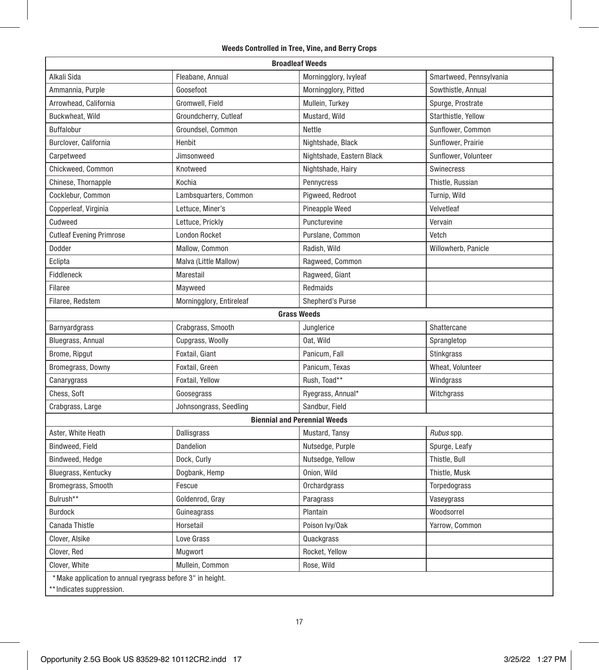### Weeds Controlled in Tree, Vine, and Berry Crops

| <b>Broadleaf Weeds</b>                                                                 |                          |                                     |                         |  |
|----------------------------------------------------------------------------------------|--------------------------|-------------------------------------|-------------------------|--|
| Alkali Sida                                                                            | Fleabane, Annual         | Morningglory, Ivyleaf               | Smartweed, Pennsylvania |  |
| Ammannia, Purple                                                                       | Goosefoot                | Morningglory, Pitted                | Sowthistle, Annual      |  |
| Arrowhead, California                                                                  | Gromwell, Field          | Mullein, Turkey                     | Spurge, Prostrate       |  |
| Buckwheat, Wild                                                                        | Groundcherry, Cutleaf    | Mustard, Wild                       | Starthistle, Yellow     |  |
| Buffalobur                                                                             | Groundsel, Common        | Nettle                              | Sunflower, Common       |  |
| Burclover, California                                                                  | Henbit                   | Nightshade, Black                   | Sunflower, Prairie      |  |
| Carpetweed                                                                             | Jimsonweed               | Nightshade, Eastern Black           | Sunflower, Volunteer    |  |
| Chickweed, Common                                                                      | Knotweed                 | Nightshade, Hairy                   | Swinecress              |  |
| Chinese, Thornapple                                                                    | Kochia                   | Pennycress                          | Thistle, Russian        |  |
| Cocklebur, Common                                                                      | Lambsquarters, Common    | Pigweed, Redroot                    | Turnip, Wild            |  |
| Copperleaf, Virginia                                                                   | Lettuce, Miner's         | Pineapple Weed                      | Velvetleaf              |  |
| Cudweed                                                                                | Lettuce, Prickly         | Puncturevine                        | Vervain                 |  |
| <b>Cutleaf Evening Primrose</b>                                                        | London Rocket            | Purslane, Common                    | Vetch                   |  |
| Dodder                                                                                 | Mallow, Common           | Radish, Wild                        | Willowherb, Panicle     |  |
| Eclipta                                                                                | Malva (Little Mallow)    | Ragweed, Common                     |                         |  |
| Fiddleneck                                                                             | Marestail                | Ragweed, Giant                      |                         |  |
| Filaree                                                                                | Mayweed                  | Redmaids                            |                         |  |
| Filaree, Redstem                                                                       | Morningglory, Entireleaf | Shepherd's Purse                    |                         |  |
|                                                                                        |                          | <b>Grass Weeds</b>                  |                         |  |
| Barnyardgrass                                                                          | Crabgrass, Smooth        | Junglerice                          | Shattercane             |  |
| Bluegrass, Annual                                                                      | Cupgrass, Woolly         | Oat, Wild                           | Sprangletop             |  |
| Brome, Ripgut                                                                          | Foxtail, Giant           | Panicum, Fall                       | Stinkgrass              |  |
| Bromegrass, Downy                                                                      | Foxtail, Green           | Panicum, Texas                      | Wheat, Volunteer        |  |
| Canarygrass                                                                            | Foxtail, Yellow          | Rush, Toad**                        | Windgrass               |  |
| Chess, Soft                                                                            | Goosegrass               | Ryegrass, Annual*                   | Witchgrass              |  |
| Crabgrass, Large                                                                       | Johnsongrass, Seedling   | Sandbur, Field                      |                         |  |
|                                                                                        |                          | <b>Biennial and Perennial Weeds</b> |                         |  |
| Aster, White Heath                                                                     | Dallisgrass              | Mustard, Tansy                      | Rubus spp.              |  |
| Bindweed, Field                                                                        | Dandelion                | Nutsedge, Purple                    | Spurge, Leafy           |  |
| Bindweed, Hedge                                                                        | Dock, Curly              | Nutsedge, Yellow                    | Thistle, Bull           |  |
| Bluegrass, Kentucky                                                                    | Dogbank, Hemp            | Onion, Wild                         | Thistle, Musk           |  |
| Bromegrass, Smooth                                                                     | Fescue                   | Orchardgrass                        | Torpedograss            |  |
| Bulrush**                                                                              | Goldenrod, Gray          | Paragrass                           | Vaseygrass              |  |
| <b>Burdock</b>                                                                         | Guineagrass              | Plantain                            | Woodsorrel              |  |
| Canada Thistle                                                                         | Horsetail                | Poison Ivy/Oak                      | Yarrow, Common          |  |
| Clover, Alsike                                                                         | Love Grass               | Quackgrass                          |                         |  |
| Clover, Red                                                                            | Mugwort                  | Rocket, Yellow                      |                         |  |
| Clover, White                                                                          | Mullein, Common          | Rose, Wild                          |                         |  |
| *Make application to annual ryegrass before 3" in height.<br>** Indicates suppression. |                          |                                     |                         |  |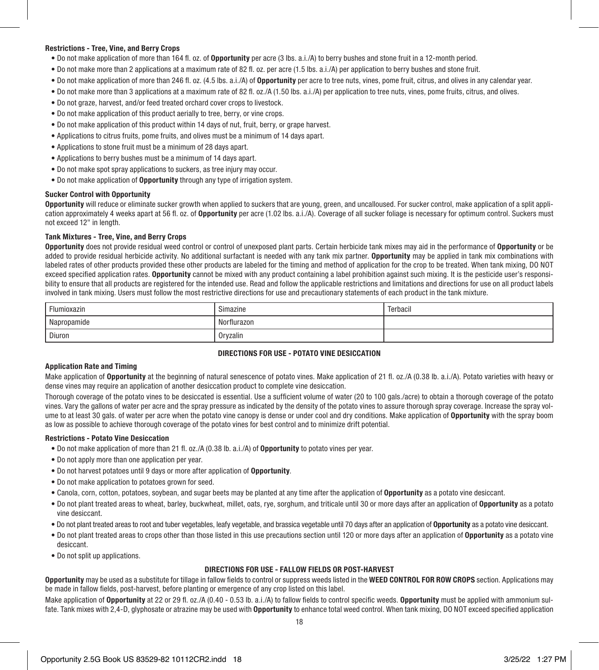### Restrictions - Tree, Vine, and Berry Crops

- Do not make application of more than 164 fl. oz. of Opportunity per acre (3 lbs. a.i./A) to berry bushes and stone fruit in a 12-month period.
- Do not make more than 2 applications at a maximum rate of 82 fl. oz. per acre (1.5 lbs. a.i./A) per application to berry bushes and stone fruit.
- Do not make application of more than 246 fl. oz. (4.5 lbs. a.i./A) of Opportunity per acre to tree nuts, vines, pome fruit, citrus, and olives in any calendar year.
- Do not make more than 3 applications at a maximum rate of 82 fl. oz./A (1.50 lbs. a.i./A) per application to tree nuts, vines, pome fruits, citrus, and olives.
- Do not graze, harvest, and/or feed treated orchard cover crops to livestock.
- Do not make application of this product aerially to tree, berry, or vine crops.
- Do not make application of this product within 14 days of nut, fruit, berry, or grape harvest.
- Applications to citrus fruits, pome fruits, and olives must be a minimum of 14 days apart.
- Applications to stone fruit must be a minimum of 28 days apart.
- Applications to berry bushes must be a minimum of 14 days apart.
- Do not make spot spray applications to suckers, as tree injury may occur.
- Do not make application of Opportunity through any type of irrigation system.

### Sucker Control with Opportunity

Opportunity will reduce or eliminate sucker growth when applied to suckers that are young, green, and uncalloused. For sucker control, make application of a split application approximately 4 weeks apart at 56 fl. oz. of Opportunity per acre (1.02 lbs. a.i./A). Coverage of all sucker foliage is necessary for optimum control. Suckers must not exceed 12" in length.

### Tank Mixtures - Tree, Vine, and Berry Crops

Opportunity does not provide residual weed control or control of unexposed plant parts. Certain herbicide tank mixes may aid in the performance of Opportunity or be added to provide residual herbicide activity. No additional surfactant is needed with any tank mix partner. Opportunity may be applied in tank mix combinations with labeled rates of other products provided these other products are labeled for the timing and method of application for the crop to be treated. When tank mixing, DO NOT exceed specified application rates. Opportunity cannot be mixed with any product containing a label prohibition against such mixing. It is the pesticide user's responsibility to ensure that all products are registered for the intended use. Read and follow the applicable restrictions and limitations and directions for use on all product labels involved in tank mixing. Users must follow the most restrictive directions for use and precautionary statements of each product in the tank mixture.

| Flumioxazin | Simazine    | Terbacil |
|-------------|-------------|----------|
| Napropamide | Norflurazon |          |
| Diuron      | Oryzalin    |          |

### DIRECTIONS FOR USE - POTATO VINE DESICCATION

### Application Rate and Timing

Make application of **Opportunity** at the beginning of natural senescence of potato vines. Make application of 21 fl. oz./A (0.38 lb. a.i./A). Potato varieties with heavy or dense vines may require an application of another desiccation product to complete vine desiccation.

Thorough coverage of the potato vines to be desiccated is essential. Use a sufficient volume of water (20 to 100 gals./acre) to obtain a thorough coverage of the potato vines. Vary the gallons of water per acre and the spray pressure as indicated by the density of the potato vines to assure thorough spray coverage. Increase the spray volume to at least 30 gals. of water per acre when the potato vine canopy is dense or under cool and dry conditions. Make application of Opportunity with the spray boom as low as possible to achieve thorough coverage of the potato vines for best control and to minimize drift potential.

### Restrictions - Potato Vine Desiccation

- Do not make application of more than 21 fl. oz./A (0.38 lb. a.i./A) of Opportunity to potato vines per year.
- Do not apply more than one application per year.
- Do not harvest potatoes until 9 days or more after application of Opportunity.
- Do not make application to potatoes grown for seed.
- Canola, corn, cotton, potatoes, soybean, and sugar beets may be planted at any time after the application of Opportunity as a potato vine desiccant.
- Do not plant treated areas to wheat, barley, buckwheat, millet, oats, rye, sorghum, and triticale until 30 or more days after an application of Opportunity as a potato vine desiccant.
- Do not plant treated areas to root and tuber vegetables, leafy vegetable, and brassica vegetable until 70 days after an application of Opportunity as a potato vine desiccant.
- Do not plant treated areas to crops other than those listed in this use precautions section until 120 or more days after an application of **Opportunity** as a potato vine desiccant.
- Do not split up applications.

### DIRECTIONS FOR USE - FALLOW FIELDS OR POST-HARVEST

Opportunity may be used as a substitute for tillage in fallow fields to control or suppress weeds listed in the WEED CONTROL FOR ROW CROPS section. Applications may be made in fallow fields, post-harvest, before planting or emergence of any crop listed on this label.

Make application of Opportunity at 22 or 29 fl. oz./A (0.40 - 0.53 lb. a.i./A) to fallow fields to control specific weeds. Opportunity must be applied with ammonium sulfate. Tank mixes with 2,4-D, glyphosate or atrazine may be used with Opportunity to enhance total weed control. When tank mixing, DO NOT exceed specified application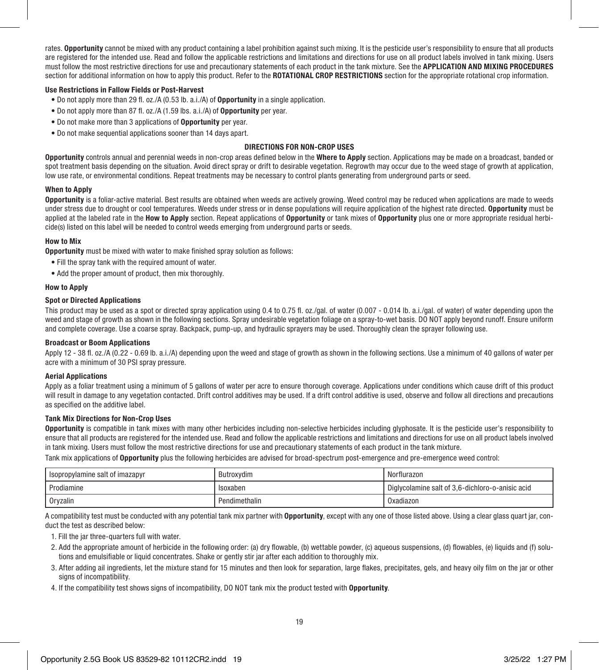rates. Opportunity cannot be mixed with any product containing a label prohibition against such mixing. It is the pesticide user's responsibility to ensure that all products are registered for the intended use. Read and follow the applicable restrictions and limitations and directions for use on all product labels involved in tank mixing. Users must follow the most restrictive directions for use and precautionary statements of each product in the tank mixture. See the APPLICATION AND MIXING PROCEDURES section for additional information on how to apply this product. Refer to the ROTATIONAL CROP RESTRICTIONS section for the appropriate rotational crop information.

### Use Restrictions in Fallow Fields or Post-Harvest

- Do not apply more than 29 fl. oz./A (0.53 lb. a.i./A) of Opportunity in a single application.
- Do not apply more than 87 fl. oz./A (1.59 lbs. a.i./A) of Opportunity per year.
- Do not make more than 3 applications of Opportunity per year.
- Do not make sequential applications sooner than 14 days apart.

### DIRECTIONS FOR NON-CROP USES

Opportunity controls annual and perennial weeds in non-crop areas defined below in the Where to Apply section. Applications may be made on a broadcast, banded or spot treatment basis depending on the situation. Avoid direct spray or drift to desirable vegetation. Regrowth may occur due to the weed stage of growth at application, low use rate, or environmental conditions. Repeat treatments may be necessary to control plants generating from underground parts or seed.

### When to Apply

Opportunity is a foliar-active material. Best results are obtained when weeds are actively growing. Weed control may be reduced when applications are made to weeds under stress due to drought or cool temperatures. Weeds under stress or in dense populations will require application of the highest rate directed. Opportunity must be applied at the labeled rate in the How to Apply section. Repeat applications of Opportunity or tank mixes of Opportunity plus one or more appropriate residual herbicide(s) listed on this label will be needed to control weeds emerging from underground parts or seeds.

### How to Mix

**Opportunity** must be mixed with water to make finished spray solution as follows:

- Fill the spray tank with the required amount of water.
- Add the proper amount of product, then mix thoroughly.

### How to Apply

### Spot or Directed Applications

This product may be used as a spot or directed spray application using 0.4 to 0.75 fl. oz./gal. of water (0.007 - 0.014 lb. a.i./gal. of water) of water depending upon the weed and stage of growth as shown in the following sections. Spray undesirable vegetation foliage on a spray-to-wet basis. DO NOT apply beyond runoff. Ensure uniform and complete coverage. Use a coarse spray. Backpack, pump-up, and hydraulic sprayers may be used. Thoroughly clean the sprayer following use.

### Broadcast or Boom Applications

Apply 12 - 38 fl. oz./A (0.22 - 0.69 lb. a.i./A) depending upon the weed and stage of growth as shown in the following sections. Use a minimum of 40 gallons of water per acre with a minimum of 30 PSI spray pressure.

### Aerial Applications

Apply as a foliar treatment using a minimum of 5 gallons of water per acre to ensure thorough coverage. Applications under conditions which cause drift of this product will result in damage to any vegetation contacted. Drift control additives may be used. If a drift control additive is used, observe and follow all directions and precautions as specified on the additive label.

### Tank Mix Directions for Non-Crop Uses

Opportunity is compatible in tank mixes with many other herbicides including non-selective herbicides including glyphosate. It is the pesticide user's responsibility to ensure that all products are registered for the intended use. Read and follow the applicable restrictions and limitations and directions for use on all product labels involved in tank mixing. Users must follow the most restrictive directions for use and precautionary statements of each product in the tank mixture.

Tank mix applications of Opportunity plus the following herbicides are advised for broad-spectrum post-emergence and pre-emergence weed control:

| Isopropylamine salt of imazapyr | Butroxydim    | Norflurazon                                      |
|---------------------------------|---------------|--------------------------------------------------|
| Prodiamine                      | Isoxaber      | Diglycolamine salt of 3,6-dichloro-o-anisic acid |
| Orvzalin                        | Pendimethalin | Oxadiazon                                        |

A compatibility test must be conducted with any potential tank mix partner with Opportunity, except with any one of those listed above. Using a clear glass quart jar, conduct the test as described below:

1. Fill the jar three-quarters full with water.

- 2. Add the appropriate amount of herbicide in the following order: (a) dry flowable, (b) wettable powder, (c) aqueous suspensions, (d) flowables, (e) liquids and (f) solutions and emulsifiable or liquid concentrates. Shake or gently stir jar after each addition to thoroughly mix.
- 3. After adding ail ingredients, let the mixture stand for 15 minutes and then look for separation, large flakes, precipitates, gels, and heavy oily film on the jar or other signs of incompatibility.
- 4. If the compatibility test shows signs of incompatibility, DO NOT tank mix the product tested with Opportunity.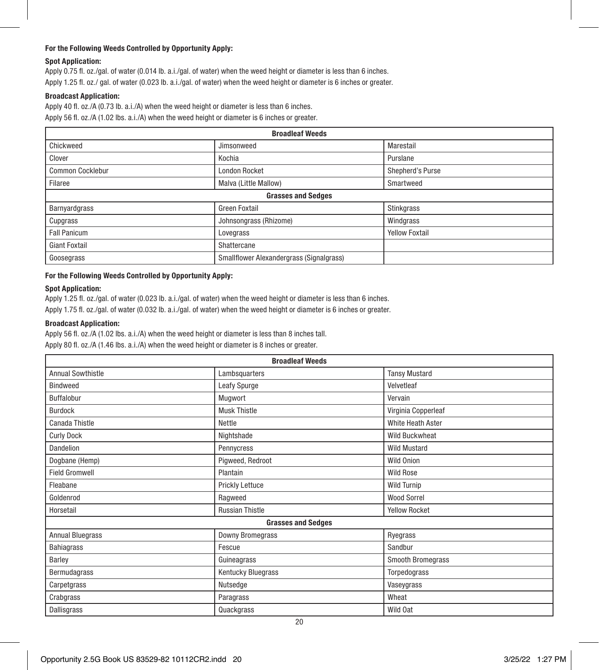### For the Following Weeds Controlled by Opportunity Apply:

### Spot Application:

Apply 0.75 fl. oz./gal. of water (0.014 lb. a.i./gal. of water) when the weed height or diameter is less than 6 inches. Apply 1.25 fl. oz./ gal. of water (0.023 lb. a.i./gal. of water) when the weed height or diameter is 6 inches or greater.

### Broadcast Application:

Apply 40 fl. oz./A (0.73 lb. a.i./A) when the weed height or diameter is less than 6 inches. Apply 56 fl. oz./A (1.02 lbs. a.i./A) when the weed height or diameter is 6 inches or greater.

| <b>Broadleaf Weeds</b>    |                                          |                       |  |
|---------------------------|------------------------------------------|-----------------------|--|
| Chickweed                 | Jimsonweed                               | Marestail             |  |
| Clover                    | Kochia                                   | Purslane              |  |
| <b>Common Cocklebur</b>   | <b>London Rocket</b>                     | Shepherd's Purse      |  |
| Filaree                   | Malva (Little Mallow)                    | Smartweed             |  |
| <b>Grasses and Sedges</b> |                                          |                       |  |
| Barnyardgrass             | <b>Green Foxtail</b>                     | Stinkgrass            |  |
| Cupgrass                  | Johnsongrass (Rhizome)                   | Windgrass             |  |
| <b>Fall Panicum</b>       | Lovegrass                                | <b>Yellow Foxtail</b> |  |
| <b>Giant Foxtail</b>      | Shattercane                              |                       |  |
| Goosegrass                | Smallflower Alexandergrass (Signalgrass) |                       |  |

### For the Following Weeds Controlled by Opportunity Apply:

### Spot Application:

Apply 1.25 fl. oz./gal. of water (0.023 lb. a.i./gal. of water) when the weed height or diameter is less than 6 inches. Apply 1.75 fl. oz./gal. of water (0.032 lb. a.i./gal. of water) when the weed height or diameter is 6 inches or greater.

### Broadcast Application:

Apply 56 fl. oz./A (1.02 lbs. a.i./A) when the weed height or diameter is less than 8 inches tall. Apply 80 fl. oz./A (1.46 lbs. a.i./A) when the weed height or diameter is 8 inches or greater.

| <b>Broadleaf Weeds</b>    |                         |                          |  |
|---------------------------|-------------------------|--------------------------|--|
| <b>Annual Sowthistle</b>  | Lambsquarters           | <b>Tansy Mustard</b>     |  |
| <b>Bindweed</b>           | Leafy Spurge            | Velvetleaf               |  |
| Buffalobur                | Mugwort                 | Vervain                  |  |
| <b>Burdock</b>            | <b>Musk Thistle</b>     | Virginia Copperleaf      |  |
| Canada Thistle            | Nettle                  | White Heath Aster        |  |
| <b>Curly Dock</b>         | Nightshade              | <b>Wild Buckwheat</b>    |  |
| Dandelion                 | Pennycress              | <b>Wild Mustard</b>      |  |
| Dogbane (Hemp)            | Piqweed, Redroot        | Wild Onion               |  |
| <b>Field Gromwell</b>     | Plantain                | <b>Wild Rose</b>         |  |
| Fleabane                  | Prickly Lettuce         | <b>Wild Turnip</b>       |  |
| Goldenrod                 | Ragweed                 | <b>Wood Sorrel</b>       |  |
| Horsetail                 | <b>Russian Thistle</b>  | <b>Yellow Rocket</b>     |  |
| <b>Grasses and Sedges</b> |                         |                          |  |
| <b>Annual Bluegrass</b>   | <b>Downy Bromegrass</b> | Ryegrass                 |  |
| Bahiagrass                | Fescue                  | Sandbur                  |  |
| Barley                    | Guineagrass             | <b>Smooth Bromegrass</b> |  |
| Bermudagrass              | Kentucky Bluegrass      | Torpedograss             |  |
| Carpetgrass               | Nutsedge                | Vaseygrass               |  |
| Crabgrass                 | Paragrass               | Wheat                    |  |
| <b>Dallisgrass</b>        | Quackgrass              | Wild Oat                 |  |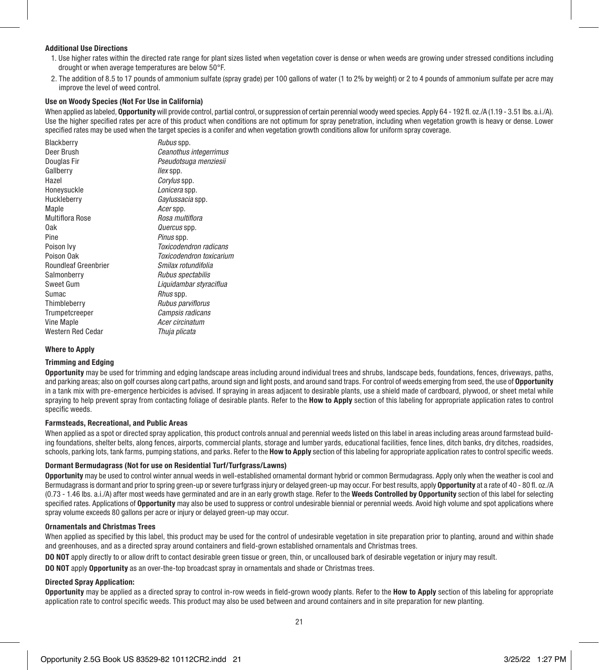### Additional Use Directions

- 1. Use higher rates within the directed rate range for plant sizes listed when vegetation cover is dense or when weeds are growing under stressed conditions including drought or when average temperatures are below 50°F.
- 2. The addition of 8.5 to 17 pounds of ammonium sulfate (spray grade) per 100 gallons of water (1 to 2% by weight) or 2 to 4 pounds of ammonium sulfate per acre may improve the level of weed control.

### Use on Woody Species (Not For Use in California)

When applied as labeled. **Opportunity** will provide control, partial control, or suppression of certain perennial woody weed species. Apply 64 - 192 fl. oz./A (1.19 - 3.51 lbs. a.i./A). Use the higher specified rates per acre of this product when conditions are not optimum for spray penetration, including when vegetation growth is heavy or dense. Lower specified rates may be used when the target species is a conifer and when vegetation growth conditions allow for uniform spray coverage.

| Blackberry                  | Rubus spp.               |
|-----------------------------|--------------------------|
| Deer Brush                  | Ceanothus integerrimus   |
| Douglas Fir                 | Pseudotsuga menziesii    |
| Gallberry                   | llex spp.                |
| Hazel                       | Corylus spp.             |
| Honeysuckle                 | Lonicera spp.            |
| Huckleberry                 | Gaylussacia spp.         |
| Maple                       | Acerspp.                 |
| <b>Multiflora Rose</b>      | Rosa multiflora          |
| 0ak                         | Quercus spp.             |
| Pine                        | Pinus spp.               |
| Poison Ivv                  | Toxicodendron radicans   |
| Poison Oak                  | Toxicodendron toxicarium |
| <b>Roundleaf Greenbrier</b> | Smilax rotundifolia      |
| Salmonberry                 | Rubus spectabilis        |
| Sweet Gum                   | Liquidambar styraciflua  |
| Sumac                       | Rhus spp.                |
| Thimbleberry                | Rubus parviflorus        |
| Trumpetcreeper              | Campsis radicans         |
| Vine Maple                  | Acer circinatum          |
| Western Red Cedar           | Thuja plicata            |

### Where to Apply

### Trimming and Edging

Opportunity may be used for trimming and edging landscape areas including around individual trees and shrubs, landscape beds, foundations, fences, driveways, paths, and parking areas; also on golf courses along cart paths, around sign and light posts, and around sand traps. For control of weeds emerging from seed, the use of Opportunity in a tank mix with pre-emergence herbicides is advised. If spraying in areas adjacent to desirable plants, use a shield made of cardboard, plywood, or sheet metal while spraying to help prevent spray from contacting foliage of desirable plants. Refer to the How to Apply section of this labeling for appropriate application rates to control specific weeds.

### Farmsteads, Recreational, and Public Areas

When applied as a spot or directed spray application, this product controls annual and perennial weeds listed on this label in areas including areas around farmstead building foundations, shelter belts, along fences, airports, commercial plants, storage and lumber vards, educational facilities, fence lines, ditch banks, dry ditches, roadsides, schools, parking lots, tank farms, pumping stations, and parks. Refer to the **How to Apply** section of this labeling for appropriate application rates to control specific weeds.

### Dormant Bermudagrass (Not for use on Residential Turf/Turfgrass/Lawns)

Opportunity may be used to control winter annual weeds in well-established ornamental dormant hybrid or common Bermudagrass. Apply only when the weather is cool and Bermudagrass is dormant and prior to spring green-up or severe turfgrass injury or delayed green-up may occur. For best results, apply Opportunity at a rate of 40 - 80 fl. oz./A (0.73 - 1.46 lbs. a.i./A) after most weeds have germinated and are in an early growth stage. Refer to the Weeds Controlled by Opportunity section of this label for selecting specified rates. Applications of Opportunity may also be used to suppress or control undesirable biennial or perennial weeds. Avoid high volume and spot applications where spray volume exceeds 80 gallons per acre or injury or delayed green-up may occur.

### Ornamentals and Christmas Trees

When applied as specified by this label, this product may be used for the control of undesirable vegetation in site preparation prior to planting, around and within shade and greenhouses, and as a directed spray around containers and field-grown established ornamentals and Christmas trees.

DO NOT apply directly to or allow drift to contact desirable green tissue or green, thin, or uncalloused bark of desirable vegetation or injury may result.

DO NOT apply Opportunity as an over-the-top broadcast spray in ornamentals and shade or Christmas trees.

### Directed Spray Application:

Opportunity may be applied as a directed spray to control in-row weeds in field-grown woody plants. Refer to the How to Apply section of this labeling for appropriate application rate to control specific weeds. This product may also be used between and around containers and in site preparation for new planting.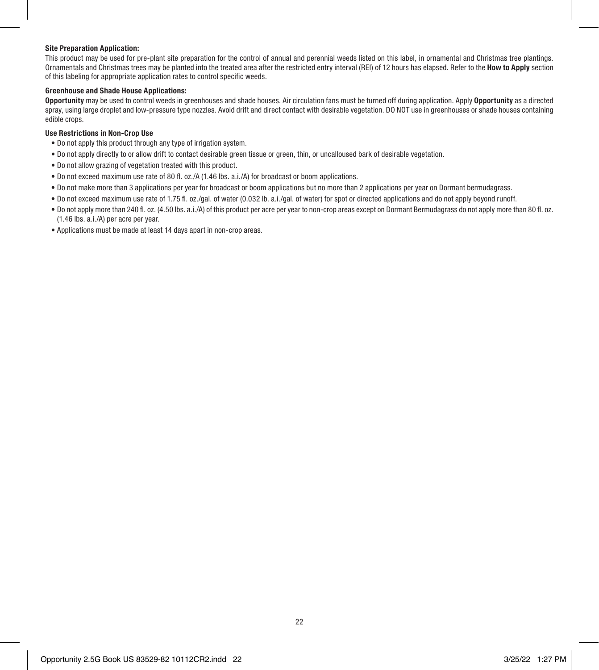### Site Preparation Application:

This product may be used for pre-plant site preparation for the control of annual and perennial weeds listed on this label, in ornamental and Christmas tree plantings. Ornamentals and Christmas trees may be planted into the treated area after the restricted entry interval (REI) of 12 hours has elapsed. Refer to the **How to Apply** section of this labeling for appropriate application rates to control specific weeds.

### Greenhouse and Shade House Applications:

Opportunity may be used to control weeds in greenhouses and shade houses. Air circulation fans must be turned off during application. Apply Opportunity as a directed spray, using large droplet and low-pressure type nozzles. Avoid drift and direct contact with desirable vegetation. DO NOT use in greenhouses or shade houses containing edible crops.

### Use Restrictions in Non-Crop Use

- Do not apply this product through any type of irrigation system.
- Do not apply directly to or allow drift to contact desirable green tissue or green, thin, or uncalloused bark of desirable vegetation.
- Do not allow grazing of vegetation treated with this product.
- Do not exceed maximum use rate of 80 fl. oz./A (1.46 lbs. a.i./A) for broadcast or boom applications.
- Do not make more than 3 applications per year for broadcast or boom applications but no more than 2 applications per year on Dormant bermudagrass.
- Do not exceed maximum use rate of 1.75 fl. oz./gal. of water (0.032 lb. a.i./gal. of water) for spot or directed applications and do not apply beyond runoff.
- Do not apply more than 240 fl. oz. (4.50 lbs. a.i./A) of this product per acre per year to non-crop areas except on Dormant Bermudagrass do not apply more than 80 fl. oz. (1.46 lbs. a.i./A) per acre per year.
- Applications must be made at least 14 days apart in non-crop areas.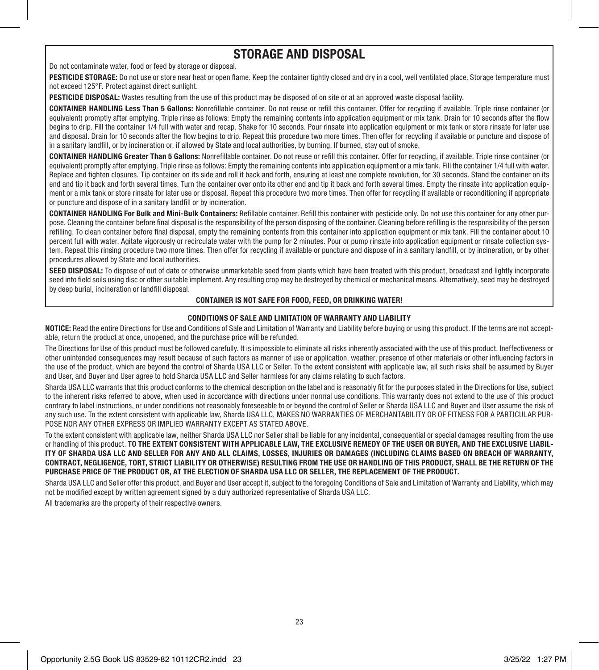# STORAGE AND DISPOSAL

Do not contaminate water, food or feed by storage or disposal.

PESTICIDE STORAGE: Do not use or store near heat or open flame. Keep the container tightly closed and dry in a cool, well ventilated place. Storage temperature must not exceed 125°F. Protect against direct sunlight.

PESTICIDE DISPOSAL: Wastes resulting from the use of this product may be disposed of on site or at an approved waste disposal facility.

CONTAINER HANDLING Less Than 5 Gallons: Nonrefillable container. Do not reuse or refill this container. Offer for recycling if available. Triple rinse container (or equivalent) promptly after emptying. Triple rinse as follows: Empty the remaining contents into application equipment or mix tank. Drain for 10 seconds after the flow begins to drip. Fill the container 1/4 full with water and recap. Shake for 10 seconds. Pour rinsate into application equipment or mix tank or store rinsate for later use and disposal. Drain for 10 seconds after the flow begins to drip. Repeat this procedure two more times. Then offer for recycling if available or puncture and dispose of in a sanitary landfill, or by incineration or, if allowed by State and local authorities, by burning. If burned, stay out of smoke.

CONTAINER HANDLING Greater Than 5 Gallons: Nonrefillable container. Do not reuse or refill this container. Offer for recycling, if available. Triple rinse container (or equivalent) promptly after emptying. Triple rinse as follows: Empty the remaining contents into application equipment or a mix tank. Fill the container 1/4 full with water. Replace and tighten closures. Tip container on its side and roll it back and forth, ensuring at least one complete revolution, for 30 seconds. Stand the container on its end and tip it back and forth several times. Turn the container over onto its other end and tip it back and forth several times. Empty the rinsate into application equipment or a mix tank or store rinsate for later use or disposal. Repeat this procedure two more times. Then offer for recycling if available or reconditioning if appropriate or puncture and dispose of in a sanitary landfill or by incineration.

CONTAINER HANDLING For Bulk and Mini-Bulk Containers: Refillable container. Refill this container with pesticide only. Do not use this container for any other purpose. Cleaning the container before final disposal is the responsibility of the person disposing of the container. Cleaning before refilling is the responsibility of the person refilling. To clean container before final disposal, empty the remaining contents from this container into application equipment or mix tank. Fill the container about 10 percent full with water. Agitate vigorously or recirculate water with the pump for 2 minutes. Pour or pump rinsate into application equipment or rinsate collection system. Repeat this rinsing procedure two more times. Then offer for recycling if available or puncture and dispose of in a sanitary landfill, or by incineration, or by other procedures allowed by State and local authorities.

SEED DISPOSAL: To dispose of out of date or otherwise unmarketable seed from plants which have been treated with this product, broadcast and lightly incorporate seed into field soils using disc or other suitable implement. Any resulting crop may be destroyed by chemical or mechanical means. Alternatively, seed may be destroyed by deep burial, incineration or landfill disposal.

### CONTAINER IS NOT SAFE FOR FOOD, FEED, OR DRINKING WATER!

### CONDITIONS OF SALE AND LIMITATION OF WARRANTY AND LIABILITY

NOTICE: Read the entire Directions for Use and Conditions of Sale and Limitation of Warranty and Liability before buying or using this product. If the terms are not acceptable, return the product at once, unopened, and the purchase price will be refunded.

The Directions for Use of this product must be followed carefully. It is impossible to eliminate all risks inherently associated with the use of this product. Ineffectiveness or other unintended consequences may result because of such factors as manner of use or application, weather, presence of other materials or other influencing factors in the use of the product, which are beyond the control of Sharda USA LLC or Seller. To the extent consistent with applicable law, all such risks shall be assumed by Buyer and User, and Buyer and User agree to hold Sharda USA LLC and Seller harmless for any claims relating to such factors.

Sharda USA LLC warrants that this product conforms to the chemical description on the label and is reasonably fit for the purposes stated in the Directions for Use, subject to the inherent risks referred to above, when used in accordance with directions under normal use conditions. This warranty does not extend to the use of this product contrary to label instructions, or under conditions not reasonably foreseeable to or beyond the control of Seller or Sharda USA LLC and Buyer and User assume the risk of any such use. To the extent consistent with applicable law, Sharda USA LLC, MAKES NO WARRANTIES OF MERCHANTABILITY OR OF FITNESS FOR A PARTICULAR PUR-POSE NOR ANY OTHER EXPRESS OR IMPLIED WARRANTY EXCEPT AS STATED ABOVE.

To the extent consistent with applicable law, neither Sharda USA LLC nor Seller shall be liable for any incidental, consequential or special damages resulting from the use or handling of this product. TO THE EXTENT CONSISTENT WITH APPLICABLE LAW, THE EXCLUSIVE REMEDY OF THE USER OR BUYER, AND THE EXCLUSIVE LIABIL-ITY OF SHARDA USA LLC AND SELLER FOR ANY AND ALL CLAIMS, LOSSES, INJURIES OR DAMAGES (INCLUDING CLAIMS BASED ON BREACH OF WARRANTY, CONTRACT, NEGLIGENCE, TORT, STRICT LIABILITY OR OTHERWISE) RESULTING FROM THE USE OR HANDLING OF THIS PRODUCT, SHALL BE THE RETURN OF THE PURCHASE PRICE OF THE PRODUCT OR, AT THE ELECTION OF SHARDA USA LLC OR SELLER, THE REPLACEMENT OF THE PRODUCT.

Sharda USA LLC and Seller offer this product, and Buyer and User accept it, subject to the foregoing Conditions of Sale and Limitation of Warranty and Liability, which may not be modified except by written agreement signed by a duly authorized representative of Sharda USA LLC.

All trademarks are the property of their respective owners.